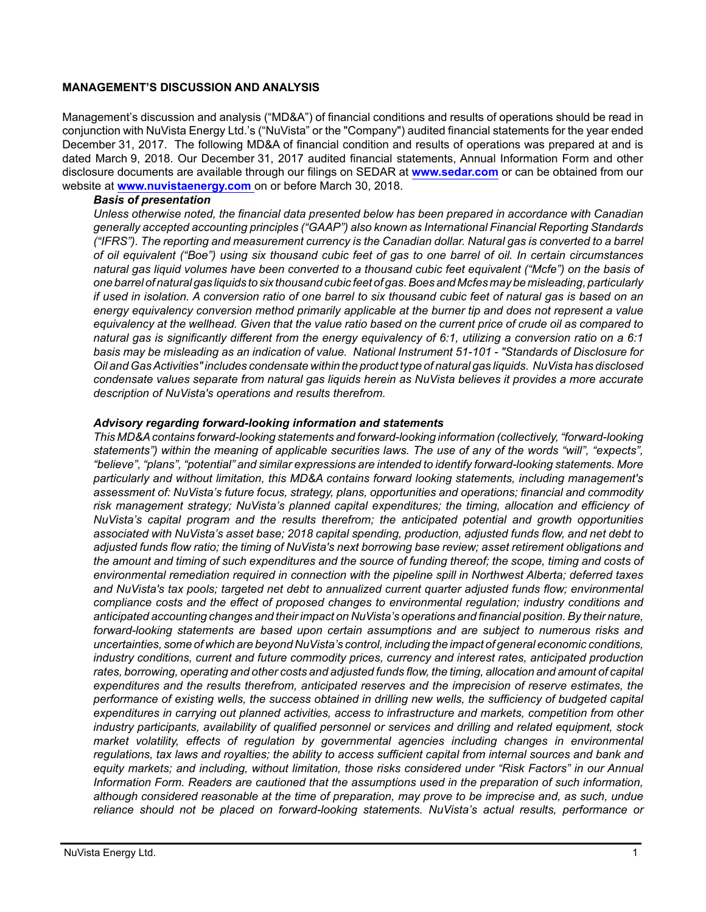#### **MANAGEMENT'S DISCUSSION AND ANALYSIS**

Management's discussion and analysis ("MD&A") of financial conditions and results of operations should be read in conjunction with NuVista Energy Ltd.'s ("NuVista" or the "Company") audited financial statements for the year ended December 31, 2017. The following MD&A of financial condition and results of operations was prepared at and is dated March 9, 2018. Our December 31, 2017 audited financial statements, Annual Information Form and other disclosure documents are available through our filings on SEDAR at **[www.sedar.com](http://www.sedar.com)** or can be obtained from our website at **[www.nuvistaenergy.com](http://www.nuvistaenergy.com)** on or before March 30, 2018.

#### *Basis of presentation*

*Unless otherwise noted, the financial data presented below has been prepared in accordance with Canadian generally accepted accounting principles ("GAAP") also known as International Financial Reporting Standards ("IFRS"). The reporting and measurement currency is the Canadian dollar. Natural gas is converted to a barrel of oil equivalent ("Boe") using six thousand cubic feet of gas to one barrel of oil. In certain circumstances natural gas liquid volumes have been converted to a thousand cubic feet equivalent ("Mcfe") on the basis of one barrel of natural gas liquids to six thousand cubic feet of gas. Boes and Mcfes may be misleading, particularly if used in isolation. A conversion ratio of one barrel to six thousand cubic feet of natural gas is based on an energy equivalency conversion method primarily applicable at the burner tip and does not represent a value equivalency at the wellhead. Given that the value ratio based on the current price of crude oil as compared to natural gas is significantly different from the energy equivalency of 6:1, utilizing a conversion ratio on a 6:1 basis may be misleading as an indication of value. National Instrument 51-101 - "Standards of Disclosure for Oil and Gas Activities" includes condensate within the product type of natural gas liquids. NuVista has disclosed condensate values separate from natural gas liquids herein as NuVista believes it provides a more accurate description of NuVista's operations and results therefrom.* 

#### *Advisory regarding forward-looking information and statements*

*This MD&A contains forward-looking statements and forward-looking information (collectively, "forward-looking statements") within the meaning of applicable securities laws. The use of any of the words "will", "expects", "believe", "plans", "potential" and similar expressions are intended to identify forward-looking statements. More particularly and without limitation, this MD&A contains forward looking statements, including management's assessment of: NuVista's future focus, strategy, plans, opportunities and operations; financial and commodity risk management strategy; NuVista's planned capital expenditures; the timing, allocation and efficiency of NuVista's capital program and the results therefrom; the anticipated potential and growth opportunities associated with NuVista's asset base; 2018 capital spending, production, adjusted funds flow, and net debt to adjusted funds flow ratio; the timing of NuVista's next borrowing base review; asset retirement obligations and the amount and timing of such expenditures and the source of funding thereof; the scope, timing and costs of environmental remediation required in connection with the pipeline spill in Northwest Alberta; deferred taxes and NuVista's tax pools; targeted net debt to annualized current quarter adjusted funds flow; environmental compliance costs and the effect of proposed changes to environmental regulation; industry conditions and anticipated accounting changes and their impact on NuVista's operations and financial position. By their nature, forward-looking statements are based upon certain assumptions and are subject to numerous risks and uncertainties, some of which are beyond NuVista's control, including the impact of general economic conditions, industry conditions, current and future commodity prices, currency and interest rates, anticipated production rates, borrowing, operating and other costs and adjusted funds flow, the timing, allocation and amount of capital expenditures and the results therefrom, anticipated reserves and the imprecision of reserve estimates, the performance of existing wells, the success obtained in drilling new wells, the sufficiency of budgeted capital expenditures in carrying out planned activities, access to infrastructure and markets, competition from other industry participants, availability of qualified personnel or services and drilling and related equipment, stock market volatility, effects of regulation by governmental agencies including changes in environmental regulations, tax laws and royalties; the ability to access sufficient capital from internal sources and bank and equity markets; and including, without limitation, those risks considered under "Risk Factors" in our Annual Information Form. Readers are cautioned that the assumptions used in the preparation of such information, although considered reasonable at the time of preparation, may prove to be imprecise and, as such, undue reliance should not be placed on forward-looking statements. NuVista's actual results, performance or*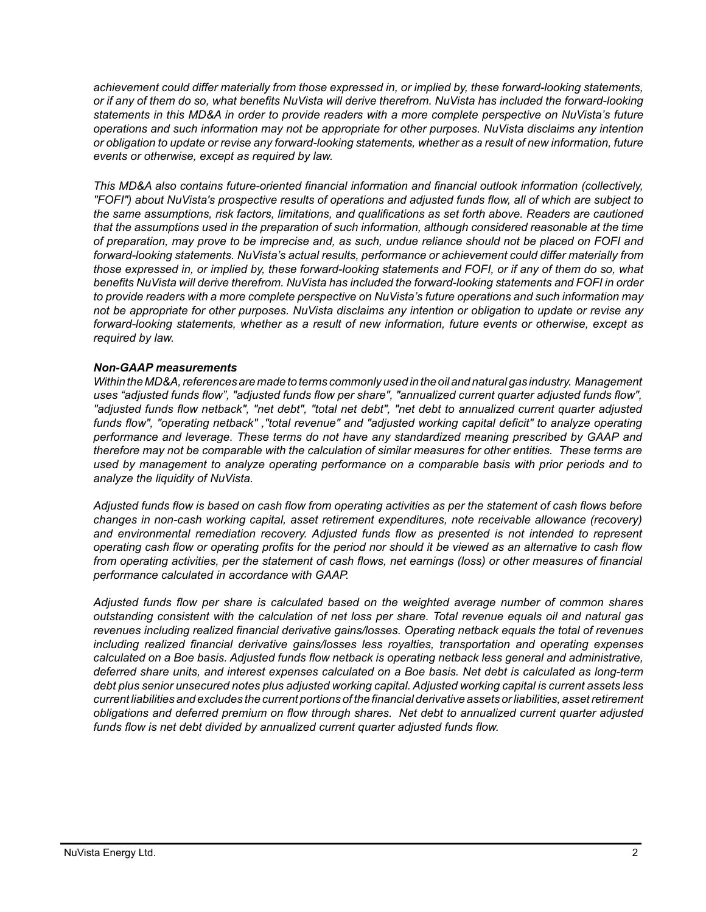*achievement could differ materially from those expressed in, or implied by, these forward-looking statements, or if any of them do so, what benefits NuVista will derive therefrom. NuVista has included the forward-looking statements in this MD&A in order to provide readers with a more complete perspective on NuVista's future operations and such information may not be appropriate for other purposes. NuVista disclaims any intention or obligation to update or revise any forward-looking statements, whether as a result of new information, future events or otherwise, except as required by law.*

*This MD&A also contains future-oriented financial information and financial outlook information (collectively, "FOFI") about NuVista's prospective results of operations and adjusted funds flow, all of which are subject to the same assumptions, risk factors, limitations, and qualifications as set forth above. Readers are cautioned that the assumptions used in the preparation of such information, although considered reasonable at the time of preparation, may prove to be imprecise and, as such, undue reliance should not be placed on FOFI and forward-looking statements. NuVista's actual results, performance or achievement could differ materially from those expressed in, or implied by, these forward-looking statements and FOFI, or if any of them do so, what benefits NuVista will derive therefrom. NuVista has included the forward-looking statements and FOFI in order to provide readers with a more complete perspective on NuVista's future operations and such information may not be appropriate for other purposes. NuVista disclaims any intention or obligation to update or revise any forward-looking statements, whether as a result of new information, future events or otherwise, except as required by law.*

#### *Non-GAAP measurements*

*Within the MD&A, references are made to terms commonly used in the oil and natural gas industry. Management uses "adjusted funds flow", "adjusted funds flow per share", "annualized current quarter adjusted funds flow", "adjusted funds flow netback", "net debt", "total net debt", "net debt to annualized current quarter adjusted funds flow", "operating netback" ,"total revenue" and "adjusted working capital deficit" to analyze operating performance and leverage. These terms do not have any standardized meaning prescribed by GAAP and therefore may not be comparable with the calculation of similar measures for other entities. These terms are used by management to analyze operating performance on a comparable basis with prior periods and to analyze the liquidity of NuVista.* 

*Adjusted funds flow is based on cash flow from operating activities as per the statement of cash flows before changes in non-cash working capital, asset retirement expenditures, note receivable allowance (recovery) and environmental remediation recovery. Adjusted funds flow as presented is not intended to represent operating cash flow or operating profits for the period nor should it be viewed as an alternative to cash flow from operating activities, per the statement of cash flows, net earnings (loss) or other measures of financial performance calculated in accordance with GAAP.* 

*Adjusted funds flow per share is calculated based on the weighted average number of common shares outstanding consistent with the calculation of net loss per share. Total revenue equals oil and natural gas revenues including realized financial derivative gains/losses. Operating netback equals the total of revenues including realized financial derivative gains/losses less royalties, transportation and operating expenses calculated on a Boe basis. Adjusted funds flow netback is operating netback less general and administrative, deferred share units, and interest expenses calculated on a Boe basis. Net debt is calculated as long-term debt plus senior unsecured notes plus adjusted working capital. Adjusted working capital is current assets less current liabilities and excludes the current portions of the financial derivative assets or liabilities, asset retirement obligations and deferred premium on flow through shares. Net debt to annualized current quarter adjusted funds flow is net debt divided by annualized current quarter adjusted funds flow.*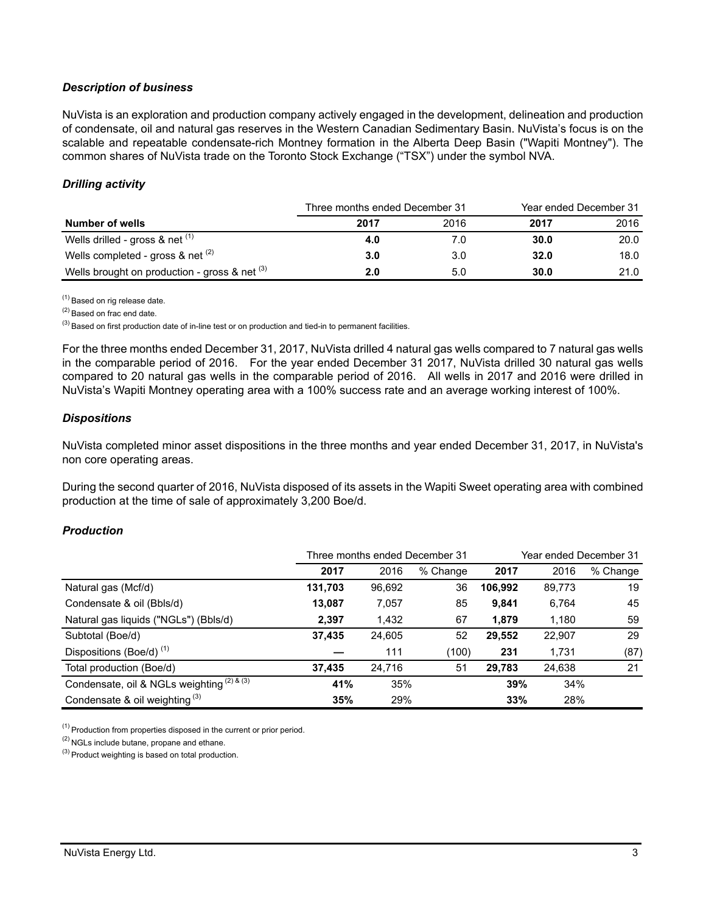### *Description of business*

NuVista is an exploration and production company actively engaged in the development, delineation and production of condensate, oil and natural gas reserves in the Western Canadian Sedimentary Basin. NuVista's focus is on the scalable and repeatable condensate-rich Montney formation in the Alberta Deep Basin ("Wapiti Montney"). The common shares of NuVista trade on the Toronto Stock Exchange ("TSX") under the symbol NVA.

## *Drilling activity*

|                                                 | Three months ended December 31 |      | Year ended December 31 |      |
|-------------------------------------------------|--------------------------------|------|------------------------|------|
| Number of wells                                 | 2017                           | 2016 | 2017                   | 2016 |
| Wells drilled - gross $\&$ net $^{(1)}$         | 4.0                            |      | 30.0                   | 20.0 |
| Wells completed - gross & net $(2)$             | 3.0                            | 3.0  | 32.0                   | 18.0 |
| Wells brought on production - gross & net $(3)$ | 2.0                            | 5.0  | 30.0                   | 21.0 |

(1) Based on rig release date.

(2) Based on frac end date.

 $^{(3)}$  Based on first production date of in-line test or on production and tied-in to permanent facilities.

For the three months ended December 31, 2017, NuVista drilled 4 natural gas wells compared to 7 natural gas wells in the comparable period of 2016. For the year ended December 31 2017, NuVista drilled 30 natural gas wells compared to 20 natural gas wells in the comparable period of 2016. All wells in 2017 and 2016 were drilled in NuVista's Wapiti Montney operating area with a 100% success rate and an average working interest of 100%.

#### *Dispositions*

NuVista completed minor asset dispositions in the three months and year ended December 31, 2017, in NuVista's non core operating areas.

During the second quarter of 2016, NuVista disposed of its assets in the Wapiti Sweet operating area with combined production at the time of sale of approximately 3,200 Boe/d.

#### *Production*

|                                            | Three months ended December 31 |        |          | Year ended December 31 |        |          |
|--------------------------------------------|--------------------------------|--------|----------|------------------------|--------|----------|
|                                            | 2017                           | 2016   | % Change | 2017                   | 2016   | % Change |
| Natural gas (Mcf/d)                        | 131,703                        | 96,692 | 36       | 106,992                | 89,773 | 19       |
| Condensate & oil (Bbls/d)                  | 13,087                         | 7,057  | 85       | 9,841                  | 6,764  | 45       |
| Natural gas liquids ("NGLs") (Bbls/d)      | 2,397                          | 1,432  | 67       | 1,879                  | 1,180  | 59       |
| Subtotal (Boe/d)                           | 37,435                         | 24,605 | 52       | 29,552                 | 22,907 | 29       |
| Dispositions (Boe/d) <sup>(1)</sup>        |                                | 111    | (100)    | 231                    | 1,731  | (87)     |
| Total production (Boe/d)                   | 37,435                         | 24.716 | 51       | 29,783                 | 24,638 | 21       |
| Condensate, oil & NGLs weighting (2) & (3) | 41%                            | 35%    |          | 39%                    | 34%    |          |
| Condensate & oil weighting $(3)$           | 35%                            | 29%    |          | 33%                    | 28%    |          |

(1) Production from properties disposed in the current or prior period.

(2) NGLs include butane, propane and ethane.

(3) Product weighting is based on total production.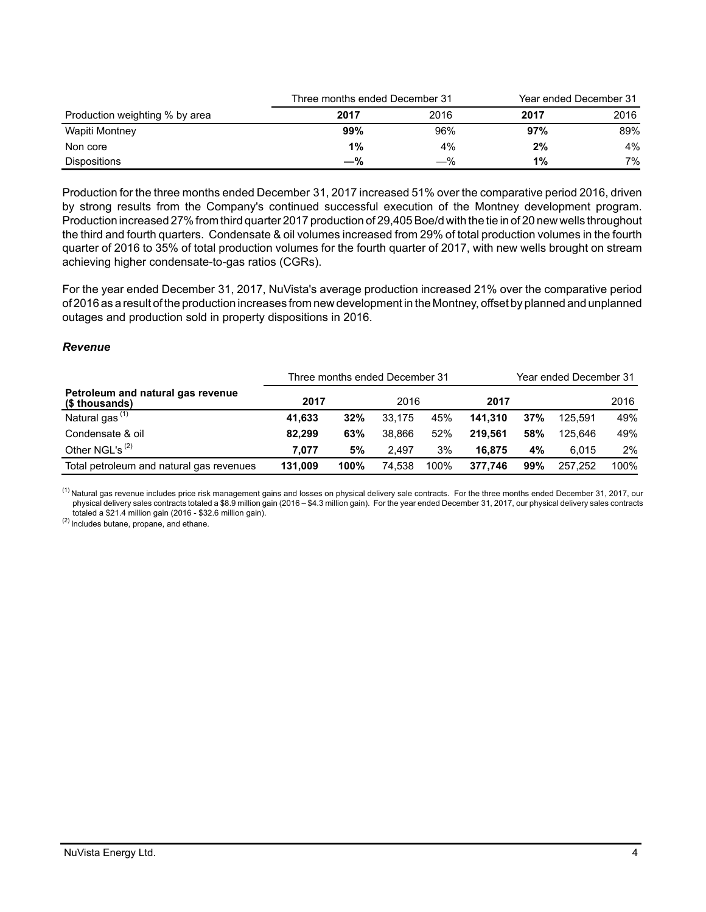|                                | Three months ended December 31 |      | Year ended December 31 |      |
|--------------------------------|--------------------------------|------|------------------------|------|
| Production weighting % by area | 2017                           | 2016 | 2017                   | 2016 |
| Wapiti Montney                 | 99%                            | 96%  | 97%                    | 89%  |
| Non core                       | 1%                             | 4%   | 2%                     | 4%   |
| Dispositions                   | $-\%$                          | —%   | 1%                     | 7%   |

Production for the three months ended December 31, 2017 increased 51% over the comparative period 2016, driven by strong results from the Company's continued successful execution of the Montney development program. Production increased 27% from third quarter 2017 production of 29,405 Boe/d with the tie in of 20 new wells throughout the third and fourth quarters. Condensate & oil volumes increased from 29% of total production volumes in the fourth quarter of 2016 to 35% of total production volumes for the fourth quarter of 2017, with new wells brought on stream achieving higher condensate-to-gas ratios (CGRs).

For the year ended December 31, 2017, NuVista's average production increased 21% over the comparative period of 2016 as a result of the production increases from new development in the Montney, offset by planned and unplanned outages and production sold in property dispositions in 2016.

#### *Revenue*

|                                                     | Three months ended December 31 |      |        |      | Year ended December 31 |     |         |       |
|-----------------------------------------------------|--------------------------------|------|--------|------|------------------------|-----|---------|-------|
| Petroleum and natural gas revenue<br>(\$ thousands) | 2017                           |      | 2016   |      | 2017                   |     |         | 2016  |
| Natural gas <sup>(1)</sup>                          | 41.633                         | 32%  | 33.175 | 45%  | 141.310                | 37% | 125.591 | 49%   |
| Condensate & oil                                    | 82.299                         | 63%  | 38.866 | 52%  | 219.561                | 58% | 125.646 | 49%   |
| Other NGL's <sup>(2)</sup>                          | 7.077                          | 5%   | 2.497  | 3%   | 16.875                 | 4%  | 6.015   | $2\%$ |
| Total petroleum and natural gas revenues            | 131.009                        | 100% | 74.538 | 100% | 377.746                | 99% | 257.252 | 100%  |

<sup>(1)</sup> Natural gas revenue includes price risk management gains and losses on physical delivery sale contracts. For the three months ended December 31, 2017, our physical delivery sales contracts totaled a \$8.9 million gain (2016 – \$4.3 million gain). For the year ended December 31, 2017, our physical delivery sales contracts totaled a \$21.4 million gain (2016 - \$32.6 million gain).

(2) Includes butane, propane, and ethane.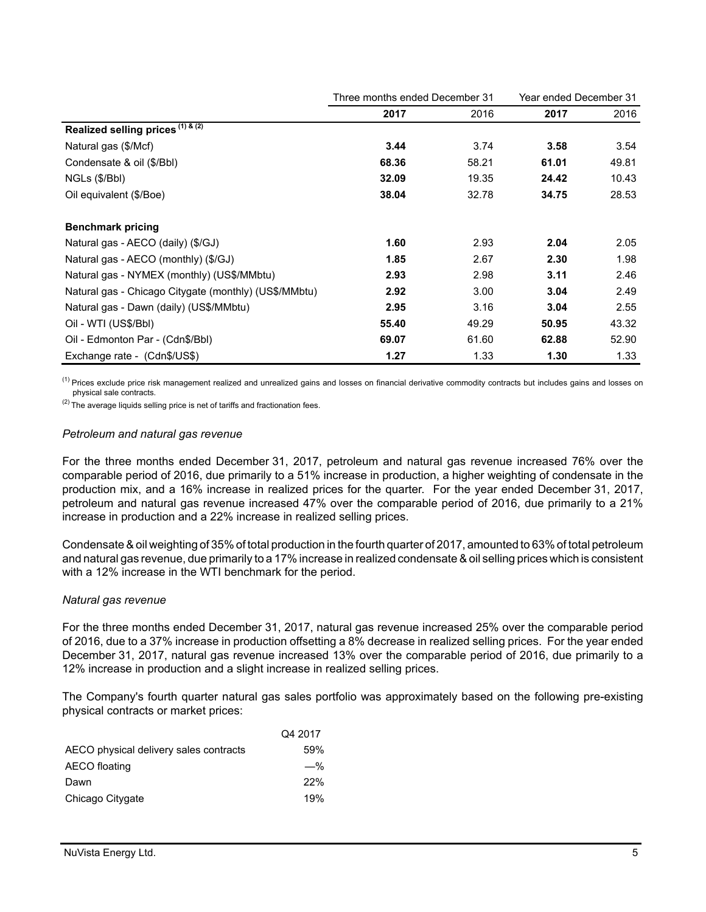|                                                       | Three months ended December 31 |       | Year ended December 31 |       |
|-------------------------------------------------------|--------------------------------|-------|------------------------|-------|
|                                                       | 2017                           | 2016  | 2017                   | 2016  |
| Realized selling prices (1) & (2)                     |                                |       |                        |       |
| Natural gas (\$/Mcf)                                  | 3.44                           | 3.74  | 3.58                   | 3.54  |
| Condensate & oil (\$/Bbl)                             | 68.36                          | 58.21 | 61.01                  | 49.81 |
| NGLs (\$/Bbl)                                         | 32.09                          | 19.35 | 24.42                  | 10.43 |
| Oil equivalent (\$/Boe)                               | 38.04                          | 32.78 | 34.75                  | 28.53 |
| <b>Benchmark pricing</b>                              |                                |       |                        |       |
| Natural gas - AECO (daily) (\$/GJ)                    | 1.60                           | 2.93  | 2.04                   | 2.05  |
| Natural gas - AECO (monthly) (\$/GJ)                  | 1.85                           | 2.67  | 2.30                   | 1.98  |
| Natural gas - NYMEX (monthly) (US\$/MMbtu)            | 2.93                           | 2.98  | 3.11                   | 2.46  |
| Natural gas - Chicago Citygate (monthly) (US\$/MMbtu) | 2.92                           | 3.00  | 3.04                   | 2.49  |
| Natural gas - Dawn (daily) (US\$/MMbtu)               | 2.95                           | 3.16  | 3.04                   | 2.55  |
| Oil - WTI (US\$/Bbl)                                  | 55.40                          | 49.29 | 50.95                  | 43.32 |
| Oil - Edmonton Par - (Cdn\$/Bbl)                      | 69.07                          | 61.60 | 62.88                  | 52.90 |
| Exchange rate - (Cdn\$/US\$)                          | 1.27                           | 1.33  | 1.30                   | 1.33  |

<sup>(1)</sup> Prices exclude price risk management realized and unrealized gains and losses on financial derivative commodity contracts but includes gains and losses on physical sale contracts.

 $(2)$  The average liquids selling price is net of tariffs and fractionation fees.

#### *Petroleum and natural gas revenue*

For the three months ended December 31, 2017, petroleum and natural gas revenue increased 76% over the comparable period of 2016, due primarily to a 51% increase in production, a higher weighting of condensate in the production mix, and a 16% increase in realized prices for the quarter. For the year ended December 31, 2017, petroleum and natural gas revenue increased 47% over the comparable period of 2016, due primarily to a 21% increase in production and a 22% increase in realized selling prices.

Condensate & oil weighting of 35% of total production in the fourth quarter of 2017, amounted to 63% of total petroleum and natural gas revenue, due primarily to a 17% increase in realized condensate & oil selling prices which is consistent with a 12% increase in the WTI benchmark for the period.

#### *Natural gas revenue*

For the three months ended December 31, 2017, natural gas revenue increased 25% over the comparable period of 2016, due to a 37% increase in production offsetting a 8% decrease in realized selling prices. For the year ended December 31, 2017, natural gas revenue increased 13% over the comparable period of 2016, due primarily to a 12% increase in production and a slight increase in realized selling prices.

The Company's fourth quarter natural gas sales portfolio was approximately based on the following pre-existing physical contracts or market prices:

|                                        | Q4 2017 |
|----------------------------------------|---------|
| AECO physical delivery sales contracts | 59%     |
| AECO floating                          | $-\%$   |
| Dawn                                   | 22%     |
| Chicago Citygate                       | 19%     |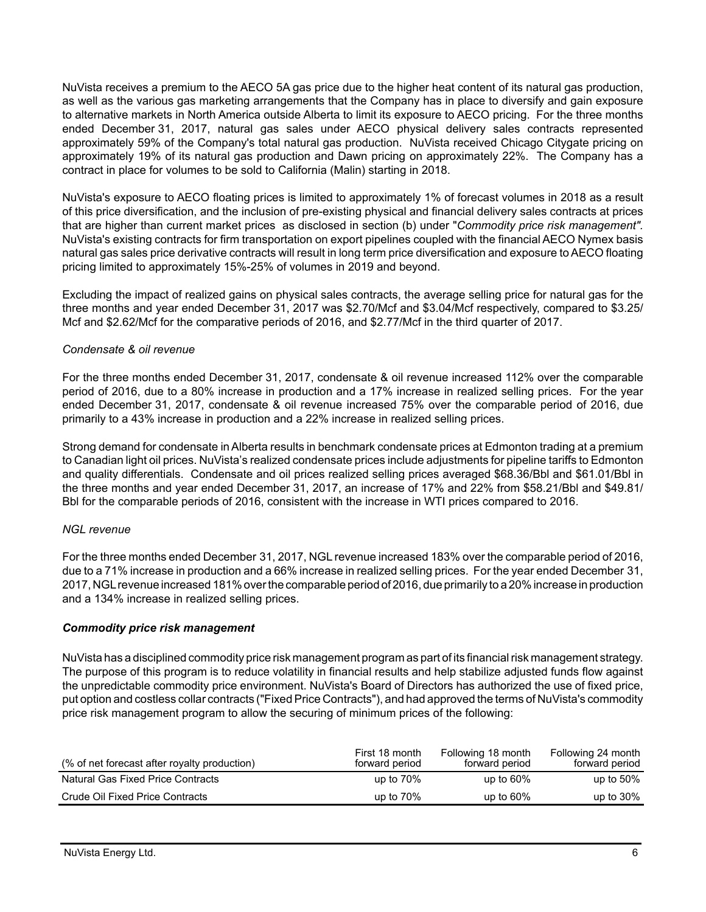NuVista receives a premium to the AECO 5A gas price due to the higher heat content of its natural gas production, as well as the various gas marketing arrangements that the Company has in place to diversify and gain exposure to alternative markets in North America outside Alberta to limit its exposure to AECO pricing. For the three months ended December 31, 2017, natural gas sales under AECO physical delivery sales contracts represented approximately 59% of the Company's total natural gas production. NuVista received Chicago Citygate pricing on approximately 19% of its natural gas production and Dawn pricing on approximately 22%. The Company has a contract in place for volumes to be sold to California (Malin) starting in 2018.

NuVista's exposure to AECO floating prices is limited to approximately 1% of forecast volumes in 2018 as a result of this price diversification, and the inclusion of pre-existing physical and financial delivery sales contracts at prices that are higher than current market prices as disclosed in section (b) under "*Commodity price risk management".* NuVista's existing contracts for firm transportation on export pipelines coupled with the financial AECO Nymex basis natural gas sales price derivative contracts will result in long term price diversification and exposure to AECO floating pricing limited to approximately 15%-25% of volumes in 2019 and beyond.

Excluding the impact of realized gains on physical sales contracts, the average selling price for natural gas for the three months and year ended December 31, 2017 was \$2.70/Mcf and \$3.04/Mcf respectively, compared to \$3.25/ Mcf and \$2.62/Mcf for the comparative periods of 2016, and \$2.77/Mcf in the third quarter of 2017.

### *Condensate & oil revenue*

For the three months ended December 31, 2017, condensate & oil revenue increased 112% over the comparable period of 2016, due to a 80% increase in production and a 17% increase in realized selling prices. For the year ended December 31, 2017, condensate & oil revenue increased 75% over the comparable period of 2016, due primarily to a 43% increase in production and a 22% increase in realized selling prices.

Strong demand for condensate in Alberta results in benchmark condensate prices at Edmonton trading at a premium to Canadian light oil prices. NuVista's realized condensate prices include adjustments for pipeline tariffs to Edmonton and quality differentials. Condensate and oil prices realized selling prices averaged \$68.36/Bbl and \$61.01/Bbl in the three months and year ended December 31, 2017, an increase of 17% and 22% from \$58.21/Bbl and \$49.81/ Bbl for the comparable periods of 2016, consistent with the increase in WTI prices compared to 2016.

## *NGL revenue*

For the three months ended December 31, 2017, NGL revenue increased 183% over the comparable period of 2016, due to a 71% increase in production and a 66% increase in realized selling prices. For the year ended December 31, 2017, NGL revenue increased 181% over the comparable period of 2016, due primarily to a 20% increase in production and a 134% increase in realized selling prices.

### *Commodity price risk management*

NuVista has a disciplined commodity price risk management program as part of its financial risk management strategy. The purpose of this program is to reduce volatility in financial results and help stabilize adjusted funds flow against the unpredictable commodity price environment. NuVista's Board of Directors has authorized the use of fixed price, put option and costless collar contracts ("Fixed Price Contracts"), and had approved the terms of NuVista's commodity price risk management program to allow the securing of minimum prices of the following:

| (% of net forecast after royalty production) | First 18 month<br>forward period | Following 18 month<br>forward period | Following 24 month<br>forward period |
|----------------------------------------------|----------------------------------|--------------------------------------|--------------------------------------|
| Natural Gas Fixed Price Contracts            | up to $70\%$                     | up to $60\%$                         | up to $50\%$                         |
| Crude Oil Fixed Price Contracts              | up to $70\%$                     | up to $60\%$                         | up to $30\%$                         |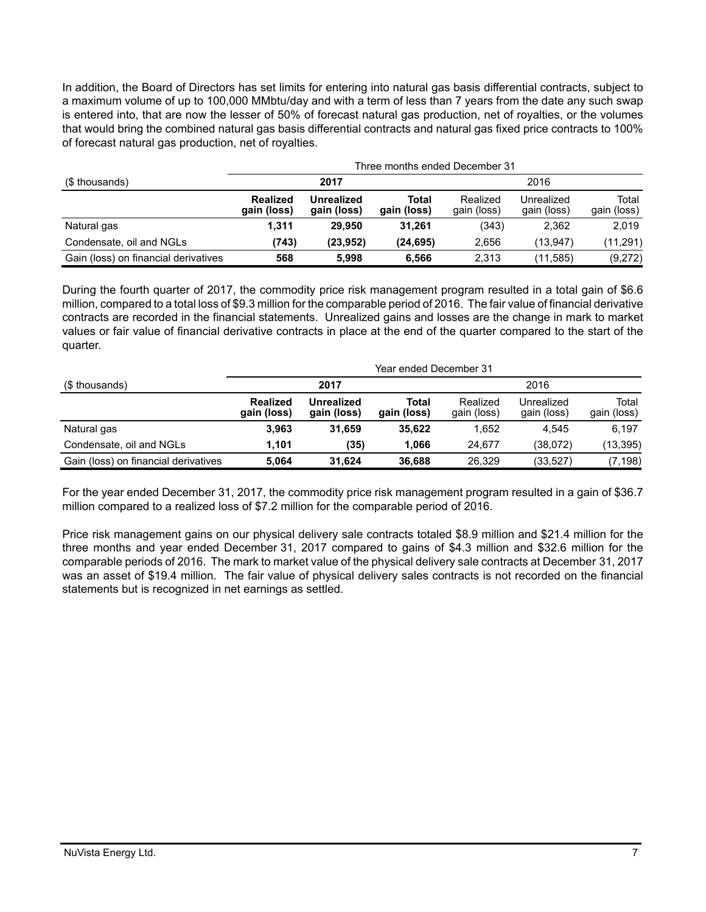In addition, the Board of Directors has set limits for entering into natural gas basis differential contracts, subject to a maximum volume of up to 100,000 MMbtu/day and with a term of less than 7 years from the date any such swap is entered into, that are now the lesser of 50% of forecast natural gas production, net of royalties, or the volumes that would bring the combined natural gas basis differential contracts and natural gas fixed price contracts to 100% of forecast natural gas production, net of royalties.

|                                      | Three months ended December 31 |                                  |                      |                         |                           |                      |
|--------------------------------------|--------------------------------|----------------------------------|----------------------|-------------------------|---------------------------|----------------------|
| (\$ thousands)                       | 2017                           |                                  |                      | 2016                    |                           |                      |
|                                      | <b>Realized</b><br>gain (loss) | <b>Unrealized</b><br>gain (loss) | Total<br>gain (loss) | Realized<br>gain (loss) | Unrealized<br>gain (loss) | Total<br>gain (loss) |
| Natural gas                          | 1.311                          | 29.950                           | 31.261               | (343)                   | 2.362                     | 2.019                |
| Condensate, oil and NGLs             | (743)                          | (23.952)                         | (24, 695)            | 2,656                   | (13.947)                  | (11, 291)            |
| Gain (loss) on financial derivatives | 568                            | 5.998                            | 6.566                | 2.313                   | (11,585)                  | (9,272)              |

During the fourth quarter of 2017, the commodity price risk management program resulted in a total gain of \$6.6 million, compared to a total loss of \$9.3 million for the comparable period of 2016. The fair value of financial derivative contracts are recorded in the financial statements. Unrealized gains and losses are the change in mark to market values or fair value of financial derivative contracts in place at the end of the quarter compared to the start of the quarter.

|                                      | Year ended December 31         |                                  |                      |                         |                           |                      |
|--------------------------------------|--------------------------------|----------------------------------|----------------------|-------------------------|---------------------------|----------------------|
| (\$ thousands)                       | 2017                           |                                  |                      |                         | 2016                      |                      |
|                                      | <b>Realized</b><br>gain (loss) | <b>Unrealized</b><br>gain (loss) | Total<br>gain (loss) | Realized<br>gain (loss) | Unrealized<br>gain (loss) | Total<br>gain (loss) |
| Natural gas                          | 3.963                          | 31.659                           | 35.622               | 1.652                   | 4.545                     | 6.197                |
| Condensate, oil and NGLs             | 1.101                          | (35)                             | 1.066                | 24.677                  | (38,072)                  | (13,395)             |
| Gain (loss) on financial derivatives | 5.064                          | 31.624                           | 36,688               | 26.329                  | (33,527)                  | (7, 198)             |

For the year ended December 31, 2017, the commodity price risk management program resulted in a gain of \$36.7 million compared to a realized loss of \$7.2 million for the comparable period of 2016.

Price risk management gains on our physical delivery sale contracts totaled \$8.9 million and \$21.4 million for the three months and year ended December 31, 2017 compared to gains of \$4.3 million and \$32.6 million for the comparable periods of 2016. The mark to market value of the physical delivery sale contracts at December 31, 2017 was an asset of \$19.4 million. The fair value of physical delivery sales contracts is not recorded on the financial statements but is recognized in net earnings as settled.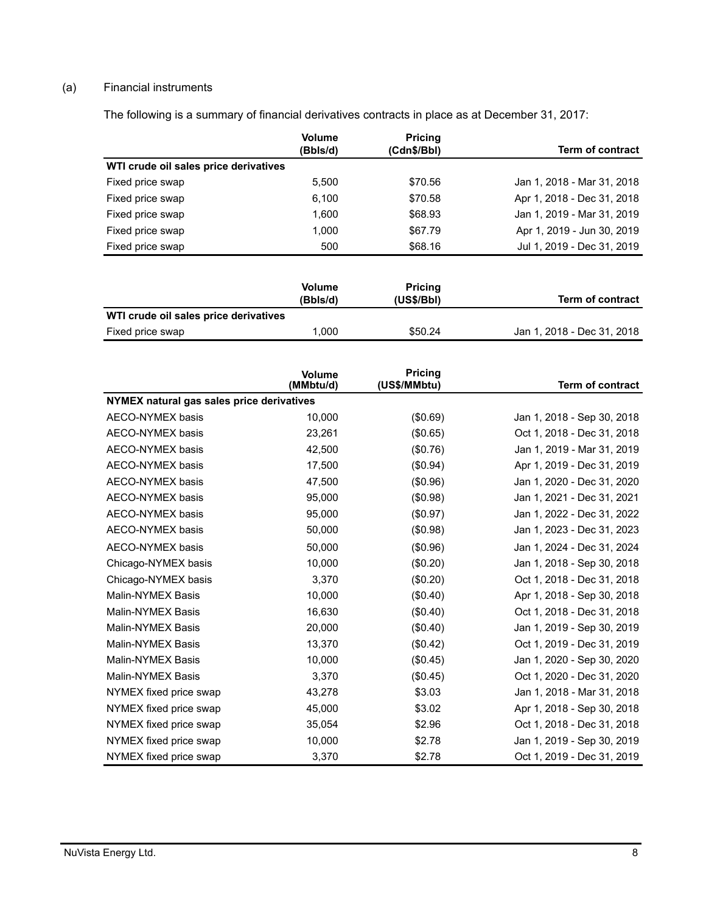# (a) Financial instruments

The following is a summary of financial derivatives contracts in place as at December 31, 2017:

|                                       | <b>Volume</b><br>(Bbls/d) | <b>Pricing</b><br>(Cdn\$/Bbl) | <b>Term of contract</b>    |
|---------------------------------------|---------------------------|-------------------------------|----------------------------|
| WTI crude oil sales price derivatives |                           |                               |                            |
| Fixed price swap                      | 5,500                     | \$70.56                       | Jan 1, 2018 - Mar 31, 2018 |
| Fixed price swap                      | 6,100                     | \$70.58                       | Apr 1, 2018 - Dec 31, 2018 |
| Fixed price swap                      | 1,600                     | \$68.93                       | Jan 1, 2019 - Mar 31, 2019 |
| Fixed price swap                      | 1,000                     | \$67.79                       | Apr 1, 2019 - Jun 30, 2019 |
| Fixed price swap                      | 500                       | \$68.16                       | Jul 1, 2019 - Dec 31, 2019 |
|                                       |                           |                               |                            |
|                                       | $M = 1$                   | <b>Data for an</b>            |                            |

|                                       | <b>Volume</b><br>(Bbls/d) | <b>Pricing</b><br>(US\$/Bbl) | <b>Term of contract</b>    |
|---------------------------------------|---------------------------|------------------------------|----------------------------|
| WTI crude oil sales price derivatives |                           |                              |                            |
| Fixed price swap                      | 0.000                     | \$50.24                      | Jan 1, 2018 - Dec 31, 2018 |

|                                           | <b>Volume</b><br>(MMbtu/d) | <b>Pricing</b><br>(US\$/MMbtu) | <b>Term of contract</b>    |
|-------------------------------------------|----------------------------|--------------------------------|----------------------------|
| NYMEX natural gas sales price derivatives |                            |                                |                            |
| <b>AECO-NYMEX basis</b>                   | 10,000                     | (\$0.69)                       | Jan 1, 2018 - Sep 30, 2018 |
| <b>AECO-NYMEX basis</b>                   | 23,261                     | (\$0.65)                       | Oct 1, 2018 - Dec 31, 2018 |
| AECO-NYMEX basis                          | 42,500                     | (\$0.76)                       | Jan 1, 2019 - Mar 31, 2019 |
| <b>AECO-NYMEX basis</b>                   | 17,500                     | (\$0.94)                       | Apr 1, 2019 - Dec 31, 2019 |
| <b>AECO-NYMEX basis</b>                   | 47,500                     | (\$0.96)                       | Jan 1, 2020 - Dec 31, 2020 |
| AECO-NYMEX basis                          | 95,000                     | (\$0.98)                       | Jan 1, 2021 - Dec 31, 2021 |
| AECO-NYMEX basis                          | 95,000                     | (\$0.97)                       | Jan 1, 2022 - Dec 31, 2022 |
| AECO-NYMEX basis                          | 50,000                     | (\$0.98)                       | Jan 1, 2023 - Dec 31, 2023 |
| <b>AECO-NYMEX basis</b>                   | 50,000                     | (\$0.96)                       | Jan 1, 2024 - Dec 31, 2024 |
| Chicago-NYMEX basis                       | 10,000                     | (\$0.20)                       | Jan 1, 2018 - Sep 30, 2018 |
| Chicago-NYMEX basis                       | 3,370                      | (\$0.20)                       | Oct 1, 2018 - Dec 31, 2018 |
| Malin-NYMEX Basis                         | 10,000                     | (\$0.40)                       | Apr 1, 2018 - Sep 30, 2018 |
| <b>Malin-NYMEX Basis</b>                  | 16,630                     | (\$0.40)                       | Oct 1, 2018 - Dec 31, 2018 |
| Malin-NYMEX Basis                         | 20,000                     | (\$0.40)                       | Jan 1, 2019 - Sep 30, 2019 |
| <b>Malin-NYMEX Basis</b>                  | 13,370                     | (\$0.42)                       | Oct 1, 2019 - Dec 31, 2019 |
| Malin-NYMEX Basis                         | 10,000                     | (\$0.45)                       | Jan 1, 2020 - Sep 30, 2020 |
| Malin-NYMEX Basis                         | 3.370                      | (\$0.45)                       | Oct 1, 2020 - Dec 31, 2020 |
| NYMEX fixed price swap                    | 43,278                     | \$3.03                         | Jan 1, 2018 - Mar 31, 2018 |
| NYMEX fixed price swap                    | 45,000                     | \$3.02                         | Apr 1, 2018 - Sep 30, 2018 |
| NYMEX fixed price swap                    | 35,054                     | \$2.96                         | Oct 1, 2018 - Dec 31, 2018 |
| NYMEX fixed price swap                    | 10,000                     | \$2.78                         | Jan 1, 2019 - Sep 30, 2019 |
| NYMEX fixed price swap                    | 3,370                      | \$2.78                         | Oct 1, 2019 - Dec 31, 2019 |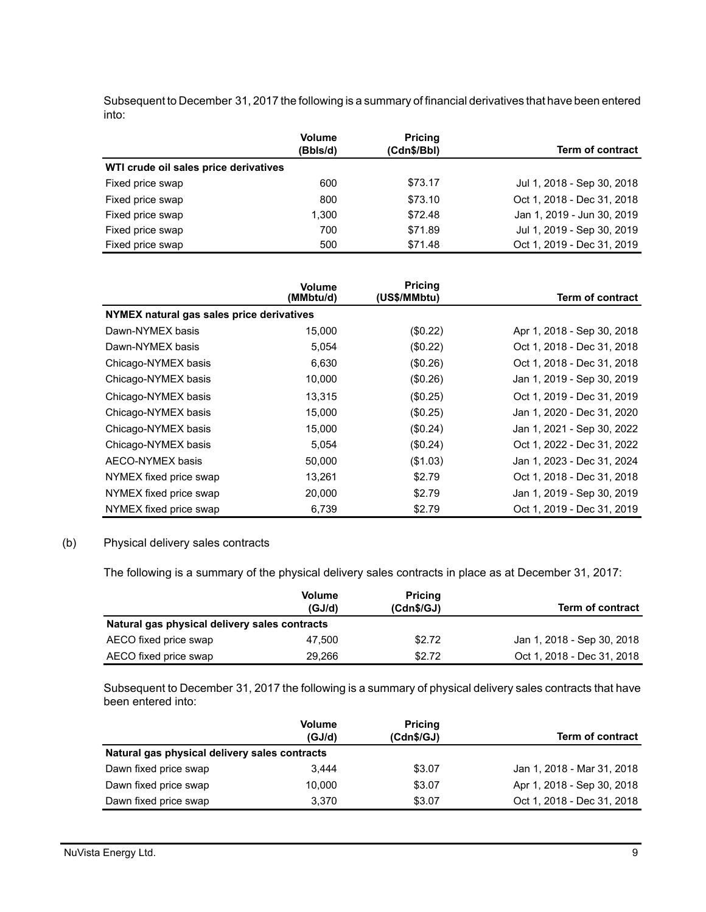Subsequent to December 31, 2017 the following is a summary of financial derivatives that have been entered into:

|                                       | <b>Volume</b><br>(Bbls/d) | <b>Pricing</b><br>(Cdn\$/Bbl) | <b>Term of contract</b>    |
|---------------------------------------|---------------------------|-------------------------------|----------------------------|
| WTI crude oil sales price derivatives |                           |                               |                            |
| Fixed price swap                      | 600                       | \$73.17                       | Jul 1, 2018 - Sep 30, 2018 |
| Fixed price swap                      | 800                       | \$73.10                       | Oct 1, 2018 - Dec 31, 2018 |
| Fixed price swap                      | 1.300                     | \$72.48                       | Jan 1, 2019 - Jun 30, 2019 |
| Fixed price swap                      | 700                       | \$71.89                       | Jul 1, 2019 - Sep 30, 2019 |
| Fixed price swap                      | 500                       | \$71.48                       | Oct 1, 2019 - Dec 31, 2019 |

|                                           | <b>Volume</b><br>(MMbtu/d) | <b>Pricing</b><br>(US\$/MMbtu) | <b>Term of contract</b>    |
|-------------------------------------------|----------------------------|--------------------------------|----------------------------|
| NYMEX natural gas sales price derivatives |                            |                                |                            |
| Dawn-NYMEX basis                          | 15.000                     | (S0.22)                        | Apr 1, 2018 - Sep 30, 2018 |
| Dawn-NYMEX basis                          | 5,054                      | (S0.22)                        | Oct 1, 2018 - Dec 31, 2018 |
| Chicago-NYMEX basis                       | 6.630                      | (\$0.26)                       | Oct 1, 2018 - Dec 31, 2018 |
| Chicago-NYMEX basis                       | 10,000                     | (\$0.26)                       | Jan 1, 2019 - Sep 30, 2019 |
| Chicago-NYMEX basis                       | 13,315                     | (\$0.25)                       | Oct 1, 2019 - Dec 31, 2019 |
| Chicago-NYMEX basis                       | 15,000                     | (S0.25)                        | Jan 1, 2020 - Dec 31, 2020 |
| Chicago-NYMEX basis                       | 15,000                     | (S0.24)                        | Jan 1, 2021 - Sep 30, 2022 |
| Chicago-NYMEX basis                       | 5,054                      | $(\$0.24)$                     | Oct 1, 2022 - Dec 31, 2022 |
| AECO-NYMEX basis                          | 50,000                     | (\$1.03)                       | Jan 1, 2023 - Dec 31, 2024 |
| NYMEX fixed price swap                    | 13,261                     | \$2.79                         | Oct 1, 2018 - Dec 31, 2018 |
| NYMEX fixed price swap                    | 20,000                     | \$2.79                         | Jan 1, 2019 - Sep 30, 2019 |
| NYMEX fixed price swap                    | 6,739                      | \$2.79                         | Oct 1, 2019 - Dec 31, 2019 |

### (b) Physical delivery sales contracts

The following is a summary of the physical delivery sales contracts in place as at December 31, 2017:

|                                               | <b>Volume</b><br>(GJ/d) | <b>Pricing</b><br>(Cdn\$/GJ) | <b>Term of contract</b>    |
|-----------------------------------------------|-------------------------|------------------------------|----------------------------|
| Natural gas physical delivery sales contracts |                         |                              |                            |
| AECO fixed price swap                         | 47.500                  | \$2.72                       | Jan 1, 2018 - Sep 30, 2018 |
| AECO fixed price swap                         | 29.266                  | \$2.72                       | Oct 1, 2018 - Dec 31, 2018 |

Subsequent to December 31, 2017 the following is a summary of physical delivery sales contracts that have been entered into:

|                                               | <b>Volume</b><br>(GJ/d) | <b>Pricing</b><br>(Cdn\$/GJ) | <b>Term of contract</b>    |
|-----------------------------------------------|-------------------------|------------------------------|----------------------------|
| Natural gas physical delivery sales contracts |                         |                              |                            |
| Dawn fixed price swap                         | 3.444                   | \$3.07                       | Jan 1, 2018 - Mar 31, 2018 |
| Dawn fixed price swap                         | 10.000                  | \$3.07                       | Apr 1, 2018 - Sep 30, 2018 |
| Dawn fixed price swap                         | 3.370                   | \$3.07                       | Oct 1, 2018 - Dec 31, 2018 |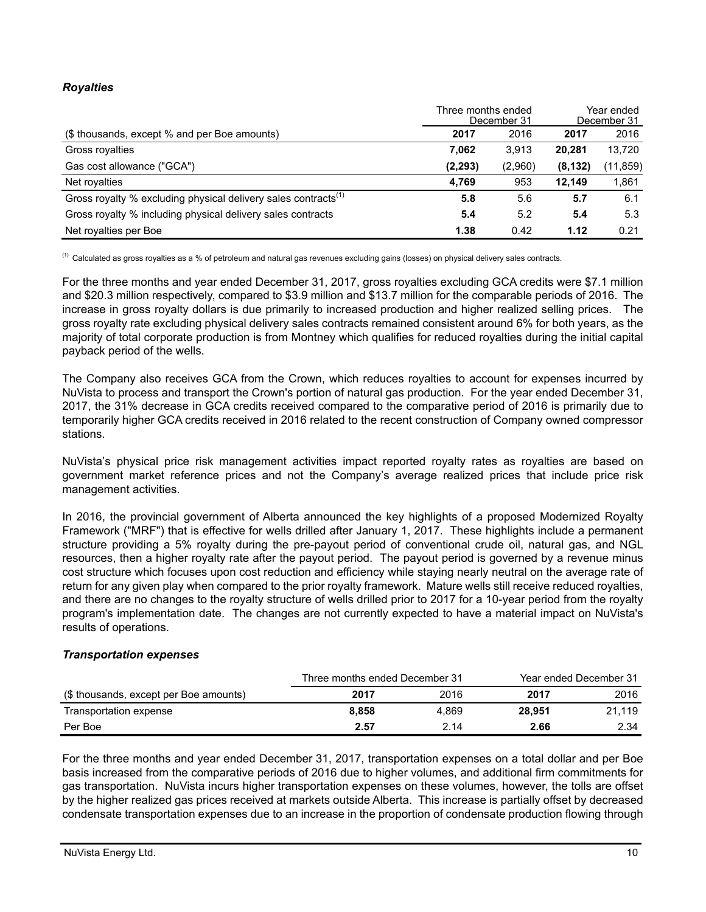## *Royalties*

|                                                                            | Three months ended<br>December 31 |         | Year ended<br>December 31 |           |
|----------------------------------------------------------------------------|-----------------------------------|---------|---------------------------|-----------|
| (\$ thousands, except % and per Boe amounts)                               | 2017                              | 2016    | 2017                      | 2016      |
| Gross royalties                                                            | 7.062                             | 3,913   | 20.281                    | 13,720    |
| Gas cost allowance ("GCA")                                                 | (2, 293)                          | (2,960) | (8, 132)                  | (11, 859) |
| Net royalties                                                              | 4.769                             | 953     | 12.149                    | 1,861     |
| Gross royalty % excluding physical delivery sales contracts <sup>(1)</sup> | 5.8                               | 5.6     | 5.7                       | 6.1       |
| Gross royalty % including physical delivery sales contracts                | 5.4                               | 5.2     | 5.4                       | 5.3       |
| Net royalties per Boe                                                      | 1.38                              | 0.42    | 1.12                      | 0.21      |

(1) Calculated as gross royalties as a % of petroleum and natural gas revenues excluding gains (losses) on physical delivery sales contracts.

For the three months and year ended December 31, 2017, gross royalties excluding GCA credits were \$7.1 million and \$20.3 million respectively, compared to \$3.9 million and \$13.7 million for the comparable periods of 2016. The increase in gross royalty dollars is due primarily to increased production and higher realized selling prices. The gross royalty rate excluding physical delivery sales contracts remained consistent around 6% for both years, as the majority of total corporate production is from Montney which qualifies for reduced royalties during the initial capital payback period of the wells.

The Company also receives GCA from the Crown, which reduces royalties to account for expenses incurred by NuVista to process and transport the Crown's portion of natural gas production. For the year ended December 31, 2017, the 31% decrease in GCA credits received compared to the comparative period of 2016 is primarily due to temporarily higher GCA credits received in 2016 related to the recent construction of Company owned compressor stations.

NuVista's physical price risk management activities impact reported royalty rates as royalties are based on government market reference prices and not the Company's average realized prices that include price risk management activities.

In 2016, the provincial government of Alberta announced the key highlights of a proposed Modernized Royalty Framework ("MRF") that is effective for wells drilled after January 1, 2017. These highlights include a permanent structure providing a 5% royalty during the pre-payout period of conventional crude oil, natural gas, and NGL resources, then a higher royalty rate after the payout period. The payout period is governed by a revenue minus cost structure which focuses upon cost reduction and efficiency while staying nearly neutral on the average rate of return for any given play when compared to the prior royalty framework. Mature wells still receive reduced royalties, and there are no changes to the royalty structure of wells drilled prior to 2017 for a 10-year period from the royalty program's implementation date. The changes are not currently expected to have a material impact on NuVista's results of operations.

### *Transportation expenses*

|                                        | Three months ended December 31 |       |        | Year ended December 31 |  |
|----------------------------------------|--------------------------------|-------|--------|------------------------|--|
| (\$ thousands, except per Boe amounts) | 2017                           | 2016  | 2017   | 2016                   |  |
| Transportation expense                 | 8.858                          | 4.869 | 28.951 | 21.119                 |  |
| Per Boe                                | 2.57                           | 2.14  | 2.66   | 2.34                   |  |

For the three months and year ended December 31, 2017, transportation expenses on a total dollar and per Boe basis increased from the comparative periods of 2016 due to higher volumes, and additional firm commitments for gas transportation. NuVista incurs higher transportation expenses on these volumes, however, the tolls are offset by the higher realized gas prices received at markets outside Alberta. This increase is partially offset by decreased condensate transportation expenses due to an increase in the proportion of condensate production flowing through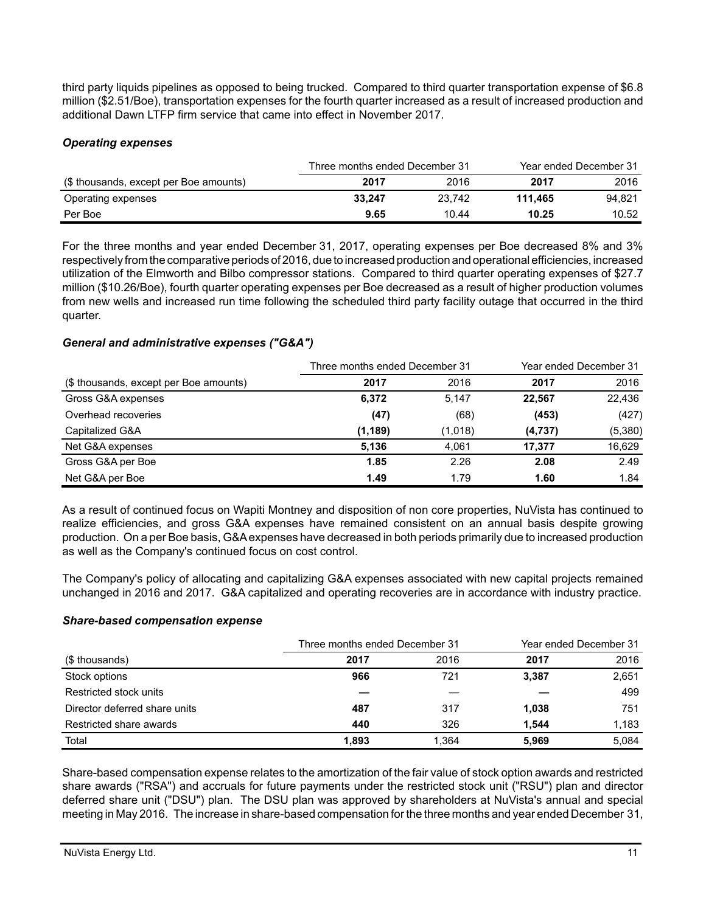third party liquids pipelines as opposed to being trucked. Compared to third quarter transportation expense of \$6.8 million (\$2.51/Boe), transportation expenses for the fourth quarter increased as a result of increased production and additional Dawn LTFP firm service that came into effect in November 2017.

### *Operating expenses*

|                                        | Three months ended December 31 |        |         | Year ended December 31 |  |
|----------------------------------------|--------------------------------|--------|---------|------------------------|--|
| (\$ thousands, except per Boe amounts) | 2017                           | 2016   | 2017    | 2016                   |  |
| Operating expenses                     | 33.247                         | 23.742 | 111.465 | 94.821                 |  |
| Per Boe                                | 9.65                           | 10.44  | 10.25   | 10.52                  |  |

For the three months and year ended December 31, 2017, operating expenses per Boe decreased 8% and 3% respectively from the comparative periods of 2016, due to increased production and operational efficiencies, increased utilization of the Elmworth and Bilbo compressor stations. Compared to third quarter operating expenses of \$27.7 million (\$10.26/Boe), fourth quarter operating expenses per Boe decreased as a result of higher production volumes from new wells and increased run time following the scheduled third party facility outage that occurred in the third quarter.

### *General and administrative expenses ("G&A")*

|                                        | Three months ended December 31 |         | Year ended December 31 |         |
|----------------------------------------|--------------------------------|---------|------------------------|---------|
| (\$ thousands, except per Boe amounts) | 2017                           | 2016    | 2017                   | 2016    |
| Gross G&A expenses                     | 6,372                          | 5,147   | 22.567                 | 22,436  |
| Overhead recoveries                    | (47)                           | (68)    | (453)                  | (427)   |
| Capitalized G&A                        | (1, 189)                       | (1,018) | (4,737)                | (5,380) |
| Net G&A expenses                       | 5,136                          | 4.061   | 17.377                 | 16,629  |
| Gross G&A per Boe                      | 1.85                           | 2.26    | 2.08                   | 2.49    |
| Net G&A per Boe                        | 1.49                           | 1.79    | 1.60                   | 1.84    |

As a result of continued focus on Wapiti Montney and disposition of non core properties, NuVista has continued to realize efficiencies, and gross G&A expenses have remained consistent on an annual basis despite growing production. On a per Boe basis, G&A expenses have decreased in both periods primarily due to increased production as well as the Company's continued focus on cost control.

The Company's policy of allocating and capitalizing G&A expenses associated with new capital projects remained unchanged in 2016 and 2017. G&A capitalized and operating recoveries are in accordance with industry practice.

### *Share-based compensation expense*

|                               | Three months ended December 31 |       | Year ended December 31 |       |
|-------------------------------|--------------------------------|-------|------------------------|-------|
| (\$ thousands)                | 2017                           | 2016  | 2017                   | 2016  |
| Stock options                 | 966                            | 721   | 3,387                  | 2,651 |
| Restricted stock units        |                                |       |                        | 499   |
| Director deferred share units | 487                            | 317   | 1,038                  | 751   |
| Restricted share awards       | 440                            | 326   | 1.544                  | 1,183 |
| Total                         | 1,893                          | 1.364 | 5,969                  | 5,084 |

Share-based compensation expense relates to the amortization of the fair value of stock option awards and restricted share awards ("RSA") and accruals for future payments under the restricted stock unit ("RSU") plan and director deferred share unit ("DSU") plan. The DSU plan was approved by shareholders at NuVista's annual and special meeting in May 2016. The increase in share-based compensation for the three months and year ended December 31,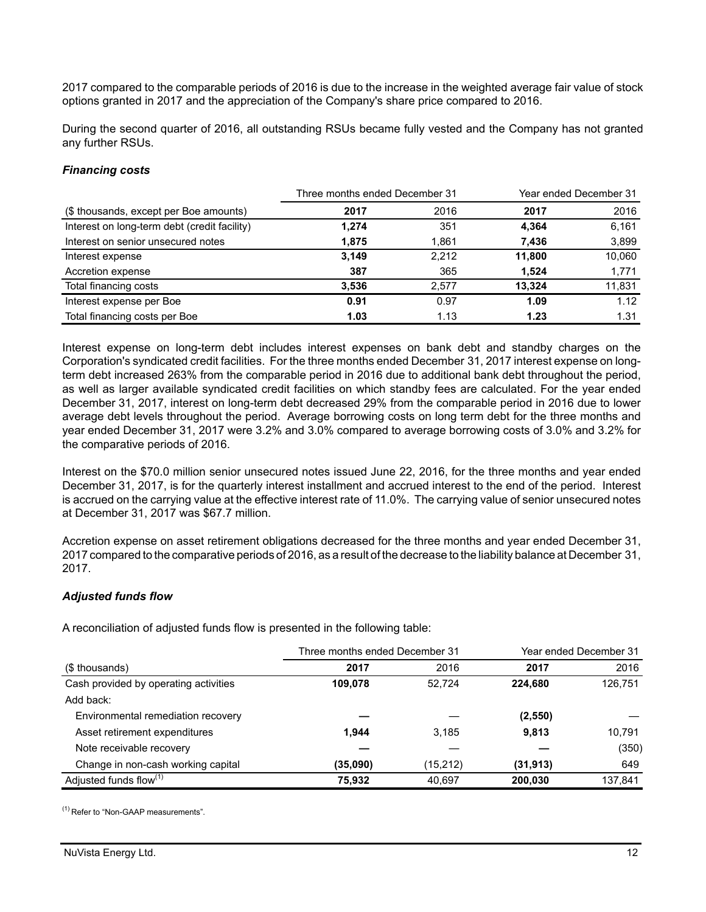2017 compared to the comparable periods of 2016 is due to the increase in the weighted average fair value of stock options granted in 2017 and the appreciation of the Company's share price compared to 2016.

During the second quarter of 2016, all outstanding RSUs became fully vested and the Company has not granted any further RSUs.

#### *Financing costs*

|                                              | Three months ended December 31 |       | Year ended December 31 |        |
|----------------------------------------------|--------------------------------|-------|------------------------|--------|
| (\$ thousands, except per Boe amounts)       | 2017                           | 2016  | 2017                   | 2016   |
| Interest on long-term debt (credit facility) | 1,274                          | 351   | 4,364                  | 6,161  |
| Interest on senior unsecured notes           | 1,875                          | 1,861 | 7,436                  | 3,899  |
| Interest expense                             | 3,149                          | 2,212 | 11,800                 | 10,060 |
| Accretion expense                            | 387                            | 365   | 1,524                  | 1,771  |
| Total financing costs                        | 3,536                          | 2.577 | 13.324                 | 11,831 |
| Interest expense per Boe                     | 0.91                           | 0.97  | 1.09                   | 1.12   |
| Total financing costs per Boe                | 1.03                           | 1.13  | 1.23                   | 1.31   |

Interest expense on long-term debt includes interest expenses on bank debt and standby charges on the Corporation's syndicated credit facilities. For the three months ended December 31, 2017 interest expense on longterm debt increased 263% from the comparable period in 2016 due to additional bank debt throughout the period, as well as larger available syndicated credit facilities on which standby fees are calculated. For the year ended December 31, 2017, interest on long-term debt decreased 29% from the comparable period in 2016 due to lower average debt levels throughout the period. Average borrowing costs on long term debt for the three months and year ended December 31, 2017 were 3.2% and 3.0% compared to average borrowing costs of 3.0% and 3.2% for the comparative periods of 2016.

Interest on the \$70.0 million senior unsecured notes issued June 22, 2016, for the three months and year ended December 31, 2017, is for the quarterly interest installment and accrued interest to the end of the period. Interest is accrued on the carrying value at the effective interest rate of 11.0%. The carrying value of senior unsecured notes at December 31, 2017 was \$67.7 million.

Accretion expense on asset retirement obligations decreased for the three months and year ended December 31, 2017 compared to the comparative periods of 2016, as a result of the decrease to the liability balance at December 31, 2017.

### *Adjusted funds flow*

A reconciliation of adjusted funds flow is presented in the following table:

|                                       | Three months ended December 31 |          | Year ended December 31 |         |
|---------------------------------------|--------------------------------|----------|------------------------|---------|
| (\$ thousands)                        | 2017                           | 2016     | 2017                   | 2016    |
| Cash provided by operating activities | 109.078                        | 52.724   | 224.680                | 126,751 |
| Add back:                             |                                |          |                        |         |
| Environmental remediation recovery    |                                |          | (2,550)                |         |
| Asset retirement expenditures         | 1.944                          | 3.185    | 9,813                  | 10.791  |
| Note receivable recovery              |                                |          |                        | (350)   |
| Change in non-cash working capital    | (35,090)                       | (15,212) | (31, 913)              | 649     |
| Adjusted funds flow <sup>(1)</sup>    | 75,932                         | 40.697   | 200,030                | 137,841 |

(1) Refer to "Non-GAAP measurements".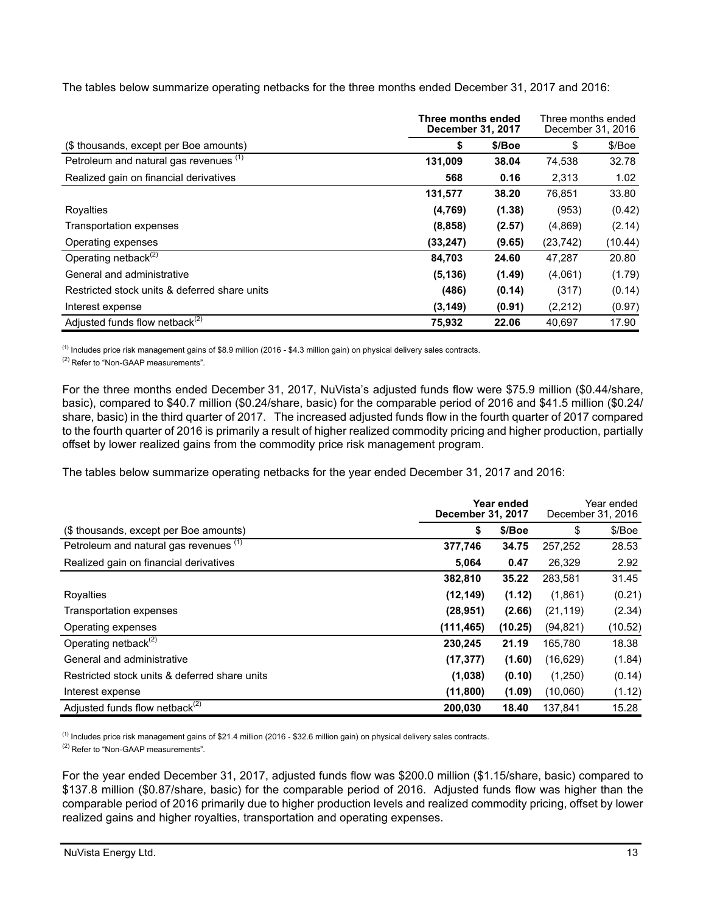The tables below summarize operating netbacks for the three months ended December 31, 2017 and 2016:

|                                               | Three months ended<br><b>December 31, 2017</b> | Three months ended<br>December 31, 2016 |           |         |
|-----------------------------------------------|------------------------------------------------|-----------------------------------------|-----------|---------|
| (\$ thousands, except per Boe amounts)        | \$                                             | \$/Boe                                  | \$        | \$/Boe  |
| Petroleum and natural gas revenues (1)        | 131,009                                        | 38.04                                   | 74,538    | 32.78   |
| Realized gain on financial derivatives        | 568                                            | 0.16                                    | 2,313     | 1.02    |
|                                               | 131,577                                        | 38.20                                   | 76,851    | 33.80   |
| Royalties                                     | (4,769)                                        | (1.38)                                  | (953)     | (0.42)  |
| Transportation expenses                       | (8, 858)                                       | (2.57)                                  | (4,869)   | (2.14)  |
| Operating expenses                            | (33, 247)                                      | (9.65)                                  | (23, 742) | (10.44) |
| Operating netback $(2)$                       | 84,703                                         | 24.60                                   | 47,287    | 20.80   |
| General and administrative                    | (5, 136)                                       | (1.49)                                  | (4,061)   | (1.79)  |
| Restricted stock units & deferred share units | (486)                                          | (0.14)                                  | (317)     | (0.14)  |
| Interest expense                              | (3, 149)                                       | (0.91)                                  | (2,212)   | (0.97)  |
| Adjusted funds flow netback <sup>(2)</sup>    | 75,932                                         | 22.06                                   | 40,697    | 17.90   |

(1) Includes price risk management gains of \$8.9 million (2016 - \$4.3 million gain) on physical delivery sales contracts.

(2) Refer to "Non-GAAP measurements".

For the three months ended December 31, 2017, NuVista's adjusted funds flow were \$75.9 million (\$0.44/share, basic), compared to \$40.7 million (\$0.24/share, basic) for the comparable period of 2016 and \$41.5 million (\$0.24/ share, basic) in the third quarter of 2017. The increased adjusted funds flow in the fourth quarter of 2017 compared to the fourth quarter of 2016 is primarily a result of higher realized commodity pricing and higher production, partially offset by lower realized gains from the commodity price risk management program.

The tables below summarize operating netbacks for the year ended December 31, 2017 and 2016:

| Year ended<br><b>December 31, 2017</b>            |            |         | Year ended<br>December 31, 2016 |         |
|---------------------------------------------------|------------|---------|---------------------------------|---------|
| (\$ thousands, except per Boe amounts)            | \$         | \$/Boe  | \$                              | \$/Boe  |
| Petroleum and natural gas revenues <sup>(1)</sup> | 377,746    | 34.75   | 257,252                         | 28.53   |
| Realized gain on financial derivatives            | 5,064      | 0.47    | 26,329                          | 2.92    |
|                                                   | 382,810    | 35.22   | 283,581                         | 31.45   |
| Royalties                                         | (12, 149)  | (1.12)  | (1,861)                         | (0.21)  |
| Transportation expenses                           | (28, 951)  | (2.66)  | (21, 119)                       | (2.34)  |
| Operating expenses                                | (111, 465) | (10.25) | (94, 821)                       | (10.52) |
| Operating netback <sup>(2)</sup>                  | 230,245    | 21.19   | 165,780                         | 18.38   |
| General and administrative                        | (17, 377)  | (1.60)  | (16, 629)                       | (1.84)  |
| Restricted stock units & deferred share units     | (1,038)    | (0.10)  | (1,250)                         | (0.14)  |
| Interest expense                                  | (11,800)   | (1.09)  | (10,060)                        | (1.12)  |
| Adjusted funds flow netback <sup>(2)</sup>        | 200,030    | 18.40   | 137,841                         | 15.28   |

 $<sup>(1)</sup>$  Includes price risk management gains of \$21.4 million (2016 - \$32.6 million gain) on physical delivery sales contracts.</sup>

(2) Refer to "Non-GAAP measurements".

For the year ended December 31, 2017, adjusted funds flow was \$200.0 million (\$1.15/share, basic) compared to \$137.8 million (\$0.87/share, basic) for the comparable period of 2016. Adjusted funds flow was higher than the comparable period of 2016 primarily due to higher production levels and realized commodity pricing, offset by lower realized gains and higher royalties, transportation and operating expenses.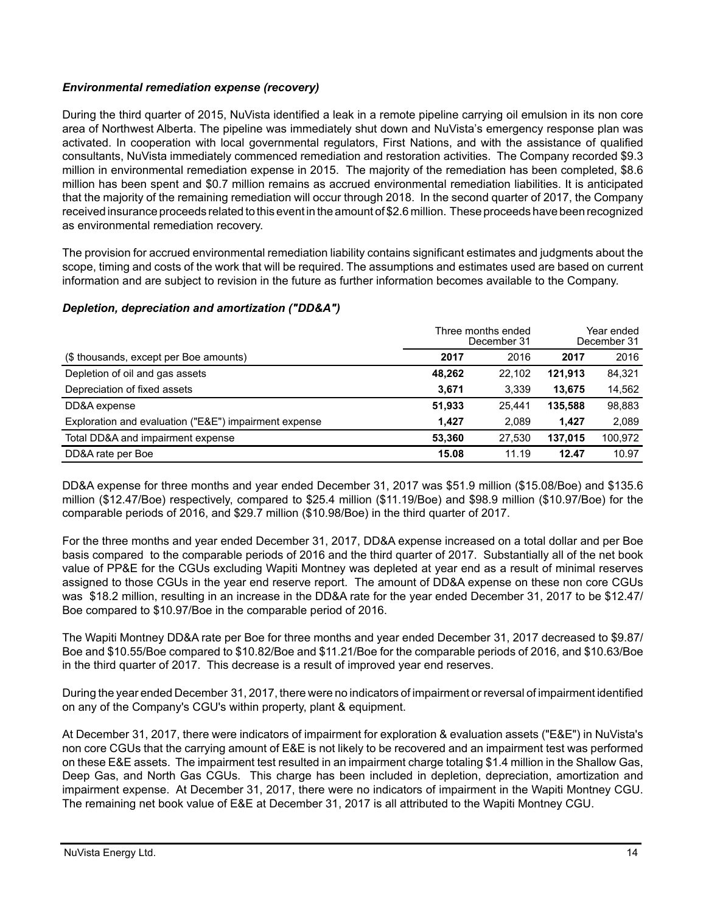## *Environmental remediation expense (recovery)*

During the third quarter of 2015, NuVista identified a leak in a remote pipeline carrying oil emulsion in its non core area of Northwest Alberta. The pipeline was immediately shut down and NuVista's emergency response plan was activated. In cooperation with local governmental regulators, First Nations, and with the assistance of qualified consultants, NuVista immediately commenced remediation and restoration activities. The Company recorded \$9.3 million in environmental remediation expense in 2015. The majority of the remediation has been completed, \$8.6 million has been spent and \$0.7 million remains as accrued environmental remediation liabilities. It is anticipated that the majority of the remaining remediation will occur through 2018. In the second quarter of 2017, the Company received insurance proceeds related to this event in the amount of \$2.6 million. These proceeds have been recognized as environmental remediation recovery.

The provision for accrued environmental remediation liability contains significant estimates and judgments about the scope, timing and costs of the work that will be required. The assumptions and estimates used are based on current information and are subject to revision in the future as further information becomes available to the Company.

## *Depletion, depreciation and amortization ("DD&A")*

|                                                       | Three months ended<br>December 31 |        | Year ended<br>December 31 |         |
|-------------------------------------------------------|-----------------------------------|--------|---------------------------|---------|
| (\$ thousands, except per Boe amounts)                | 2017                              | 2016   | 2017                      | 2016    |
| Depletion of oil and gas assets                       | 48,262                            | 22.102 | 121,913                   | 84,321  |
| Depreciation of fixed assets                          | 3,671                             | 3.339  | 13.675                    | 14,562  |
| DD&A expense                                          | 51,933                            | 25.441 | 135.588                   | 98,883  |
| Exploration and evaluation ("E&E") impairment expense | 1.427                             | 2.089  | 1.427                     | 2,089   |
| Total DD&A and impairment expense                     | 53.360                            | 27.530 | 137.015                   | 100,972 |
| DD&A rate per Boe                                     | 15.08                             | 11.19  | 12.47                     | 10.97   |

DD&A expense for three months and year ended December 31, 2017 was \$51.9 million (\$15.08/Boe) and \$135.6 million (\$12.47/Boe) respectively, compared to \$25.4 million (\$11.19/Boe) and \$98.9 million (\$10.97/Boe) for the comparable periods of 2016, and \$29.7 million (\$10.98/Boe) in the third quarter of 2017.

For the three months and year ended December 31, 2017, DD&A expense increased on a total dollar and per Boe basis compared to the comparable periods of 2016 and the third quarter of 2017. Substantially all of the net book value of PP&E for the CGUs excluding Wapiti Montney was depleted at year end as a result of minimal reserves assigned to those CGUs in the year end reserve report. The amount of DD&A expense on these non core CGUs was \$18.2 million, resulting in an increase in the DD&A rate for the year ended December 31, 2017 to be \$12.47/ Boe compared to \$10.97/Boe in the comparable period of 2016.

The Wapiti Montney DD&A rate per Boe for three months and year ended December 31, 2017 decreased to \$9.87/ Boe and \$10.55/Boe compared to \$10.82/Boe and \$11.21/Boe for the comparable periods of 2016, and \$10.63/Boe in the third quarter of 2017. This decrease is a result of improved year end reserves.

During the year ended December 31, 2017, there were no indicators of impairment or reversal of impairment identified on any of the Company's CGU's within property, plant & equipment.

At December 31, 2017, there were indicators of impairment for exploration & evaluation assets ("E&E") in NuVista's non core CGUs that the carrying amount of E&E is not likely to be recovered and an impairment test was performed on these E&E assets. The impairment test resulted in an impairment charge totaling \$1.4 million in the Shallow Gas, Deep Gas, and North Gas CGUs. This charge has been included in depletion, depreciation, amortization and impairment expense. At December 31, 2017, there were no indicators of impairment in the Wapiti Montney CGU. The remaining net book value of E&E at December 31, 2017 is all attributed to the Wapiti Montney CGU.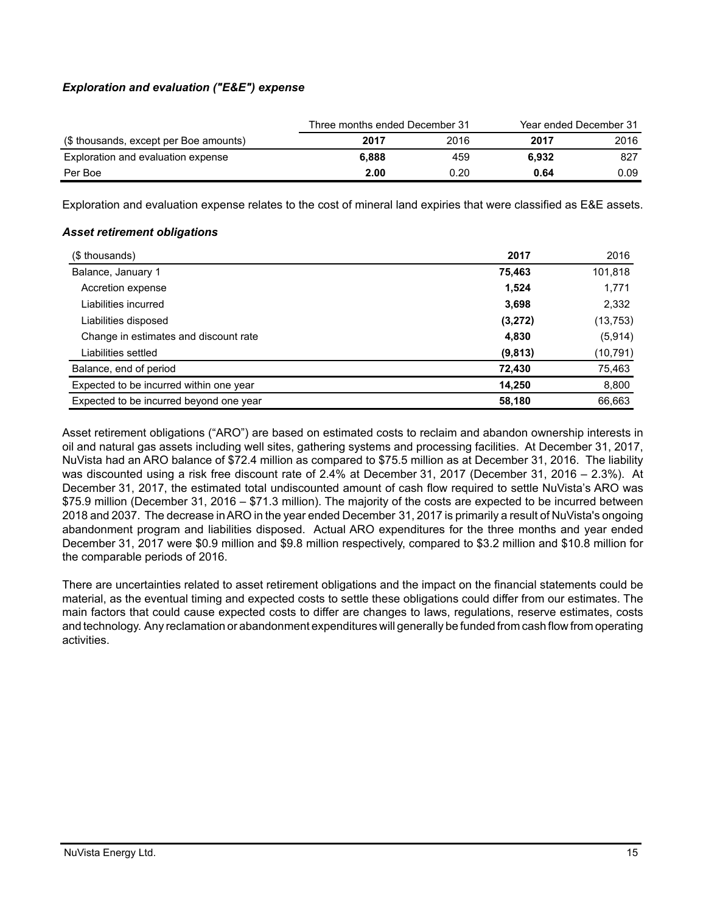## *Exploration and evaluation ("E&E") expense*

|                                        | Three months ended December 31 |      | Year ended December 31 |      |
|----------------------------------------|--------------------------------|------|------------------------|------|
| (\$ thousands, except per Boe amounts) | 2017                           | 2016 | 2017                   | 2016 |
| Exploration and evaluation expense     | 6.888                          | 459  | 6.932                  | 827  |
| Per Boe                                | 2.00                           | 0.20 | 0.64                   | 0.09 |

Exploration and evaluation expense relates to the cost of mineral land expiries that were classified as E&E assets.

### *Asset retirement obligations*

| (\$ thousands)                          | 2017    | 2016      |
|-----------------------------------------|---------|-----------|
| Balance, January 1                      | 75,463  | 101,818   |
| Accretion expense                       | 1,524   | 1,771     |
| Liabilities incurred                    | 3,698   | 2,332     |
| Liabilities disposed                    | (3,272) | (13, 753) |
| Change in estimates and discount rate   | 4,830   | (5,914)   |
| Liabilities settled                     | (9,813) | (10, 791) |
| Balance, end of period                  | 72,430  | 75,463    |
| Expected to be incurred within one year | 14,250  | 8,800     |
| Expected to be incurred beyond one year | 58,180  | 66.663    |

Asset retirement obligations ("ARO") are based on estimated costs to reclaim and abandon ownership interests in oil and natural gas assets including well sites, gathering systems and processing facilities. At December 31, 2017, NuVista had an ARO balance of \$72.4 million as compared to \$75.5 million as at December 31, 2016. The liability was discounted using a risk free discount rate of 2.4% at December 31, 2017 (December 31, 2016 – 2.3%). At December 31, 2017, the estimated total undiscounted amount of cash flow required to settle NuVista's ARO was \$75.9 million (December 31, 2016 – \$71.3 million). The majority of the costs are expected to be incurred between 2018 and 2037. The decrease in ARO in the year ended December 31, 2017 is primarily a result of NuVista's ongoing abandonment program and liabilities disposed. Actual ARO expenditures for the three months and year ended December 31, 2017 were \$0.9 million and \$9.8 million respectively, compared to \$3.2 million and \$10.8 million for the comparable periods of 2016.

There are uncertainties related to asset retirement obligations and the impact on the financial statements could be material, as the eventual timing and expected costs to settle these obligations could differ from our estimates. The main factors that could cause expected costs to differ are changes to laws, regulations, reserve estimates, costs and technology. Any reclamation or abandonment expenditures will generally be funded from cash flow from operating activities.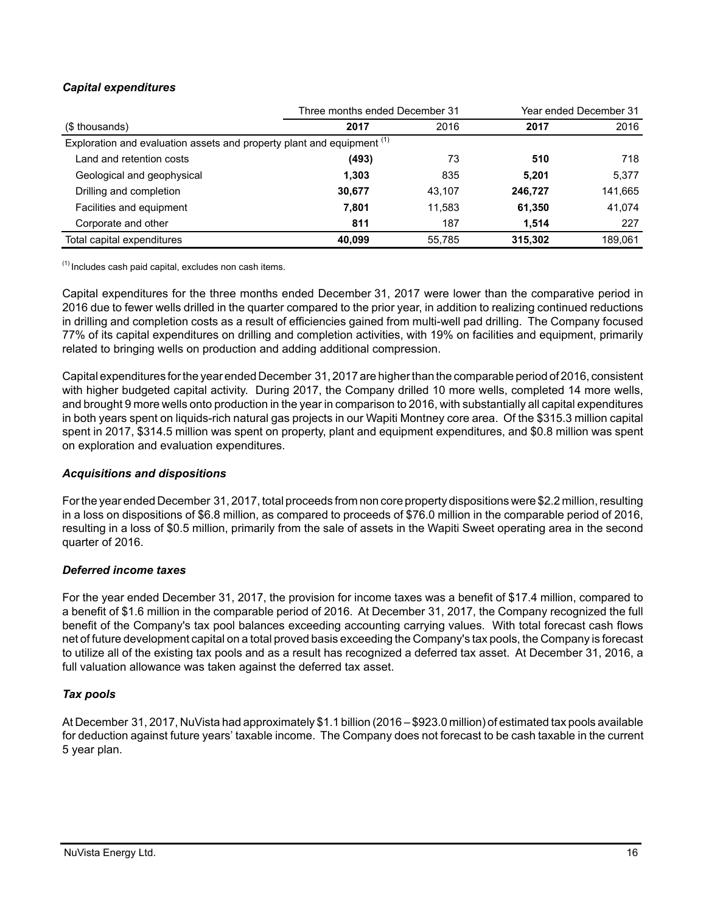## *Capital expenditures*

|                                                                                   | Three months ended December 31 |        |         | Year ended December 31 |
|-----------------------------------------------------------------------------------|--------------------------------|--------|---------|------------------------|
| (\$ thousands)                                                                    | 2017                           | 2016   | 2017    | 2016                   |
| Exploration and evaluation assets and property plant and equipment <sup>(1)</sup> |                                |        |         |                        |
| Land and retention costs                                                          | (493)                          | 73     | 510     | 718                    |
| Geological and geophysical                                                        | 1,303                          | 835    | 5,201   | 5,377                  |
| Drilling and completion                                                           | 30,677                         | 43.107 | 246,727 | 141,665                |
| Facilities and equipment                                                          | 7,801                          | 11,583 | 61,350  | 41,074                 |
| Corporate and other                                                               | 811                            | 187    | 1.514   | 227                    |
| Total capital expenditures                                                        | 40.099                         | 55,785 | 315,302 | 189.061                |

 $<sup>(1)</sup>$  Includes cash paid capital, excludes non cash items.</sup>

Capital expenditures for the three months ended December 31, 2017 were lower than the comparative period in 2016 due to fewer wells drilled in the quarter compared to the prior year, in addition to realizing continued reductions in drilling and completion costs as a result of efficiencies gained from multi-well pad drilling. The Company focused 77% of its capital expenditures on drilling and completion activities, with 19% on facilities and equipment, primarily related to bringing wells on production and adding additional compression.

Capital expenditures for the year ended December 31, 2017 are higher than the comparable period of 2016, consistent with higher budgeted capital activity. During 2017, the Company drilled 10 more wells, completed 14 more wells, and brought 9 more wells onto production in the year in comparison to 2016, with substantially all capital expenditures in both years spent on liquids-rich natural gas projects in our Wapiti Montney core area. Of the \$315.3 million capital spent in 2017, \$314.5 million was spent on property, plant and equipment expenditures, and \$0.8 million was spent on exploration and evaluation expenditures.

## *Acquisitions and dispositions*

For the year ended December 31, 2017, total proceeds from non core property dispositions were \$2.2 million, resulting in a loss on dispositions of \$6.8 million, as compared to proceeds of \$76.0 million in the comparable period of 2016, resulting in a loss of \$0.5 million, primarily from the sale of assets in the Wapiti Sweet operating area in the second quarter of 2016.

## *Deferred income taxes*

For the year ended December 31, 2017, the provision for income taxes was a benefit of \$17.4 million, compared to a benefit of \$1.6 million in the comparable period of 2016. At December 31, 2017, the Company recognized the full benefit of the Company's tax pool balances exceeding accounting carrying values. With total forecast cash flows net of future development capital on a total proved basis exceeding the Company's tax pools, the Company is forecast to utilize all of the existing tax pools and as a result has recognized a deferred tax asset. At December 31, 2016, a full valuation allowance was taken against the deferred tax asset.

## *Tax pools*

At December 31, 2017, NuVista had approximately \$1.1 billion (2016 – \$923.0 million) of estimated tax pools available for deduction against future years' taxable income. The Company does not forecast to be cash taxable in the current 5 year plan.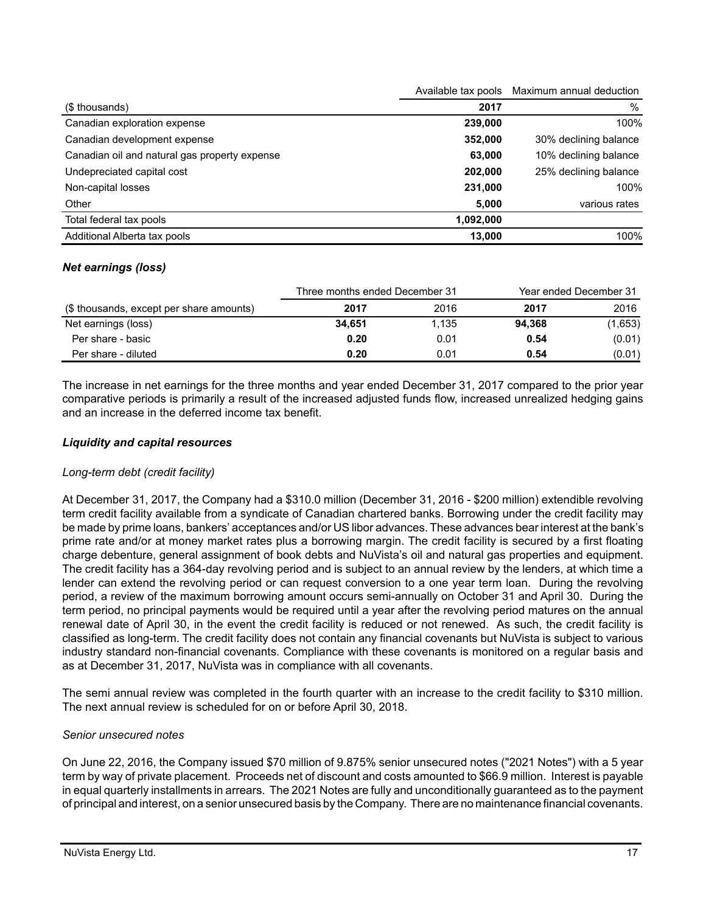|                                               | Available tax pools | Maximum annual deduction |
|-----------------------------------------------|---------------------|--------------------------|
| (\$ thousands)                                | 2017                | $\%$                     |
| Canadian exploration expense                  | 239,000             | 100%                     |
| Canadian development expense                  | 352,000             | 30% declining balance    |
| Canadian oil and natural gas property expense | 63,000              | 10% declining balance    |
| Undepreciated capital cost                    | 202,000             | 25% declining balance    |
| Non-capital losses                            | 231,000             | 100%                     |
| Other                                         | 5,000               | various rates            |
| Total federal tax pools                       | 1,092,000           |                          |
| Additional Alberta tax pools                  | 13,000              | 100%                     |
|                                               |                     |                          |

### *Net earnings (loss)*

|                                          | Three months ended December 31 |       |        | Year ended December 31 |
|------------------------------------------|--------------------------------|-------|--------|------------------------|
| (\$ thousands, except per share amounts) | 2017                           | 2016  | 2017   | 2016                   |
| Net earnings (loss)                      | 34.651                         | 1.135 | 94.368 | (1,653)                |
| Per share - basic                        | 0.20                           | 0.01  | 0.54   | (0.01)                 |
| Per share - diluted                      | 0.20                           | 0.01  | 0.54   | (0.01)                 |

The increase in net earnings for the three months and year ended December 31, 2017 compared to the prior year comparative periods is primarily a result of the increased adjusted funds flow, increased unrealized hedging gains and an increase in the deferred income tax benefit.

### *Liquidity and capital resources*

### *Long-term debt (credit facility)*

At December 31, 2017, the Company had a \$310.0 million (December 31, 2016 - \$200 million) extendible revolving term credit facility available from a syndicate of Canadian chartered banks. Borrowing under the credit facility may be made by prime loans, bankers' acceptances and/or US libor advances. These advances bear interest at the bank's prime rate and/or at money market rates plus a borrowing margin. The credit facility is secured by a first floating charge debenture, general assignment of book debts and NuVista's oil and natural gas properties and equipment. The credit facility has a 364-day revolving period and is subject to an annual review by the lenders, at which time a lender can extend the revolving period or can request conversion to a one year term loan. During the revolving period, a review of the maximum borrowing amount occurs semi-annually on October 31 and April 30. During the term period, no principal payments would be required until a year after the revolving period matures on the annual renewal date of April 30, in the event the credit facility is reduced or not renewed. As such, the credit facility is classified as long-term. The credit facility does not contain any financial covenants but NuVista is subject to various industry standard non-financial covenants. Compliance with these covenants is monitored on a regular basis and as at December 31, 2017, NuVista was in compliance with all covenants.

The semi annual review was completed in the fourth quarter with an increase to the credit facility to \$310 million. The next annual review is scheduled for on or before April 30, 2018.

### *Senior unsecured notes*

On June 22, 2016, the Company issued \$70 million of 9.875% senior unsecured notes ("2021 Notes") with a 5 year term by way of private placement. Proceeds net of discount and costs amounted to \$66.9 million. Interest is payable in equal quarterly installments in arrears. The 2021 Notes are fully and unconditionally guaranteed as to the payment of principal and interest, on a senior unsecured basis by the Company. There are no maintenance financial covenants.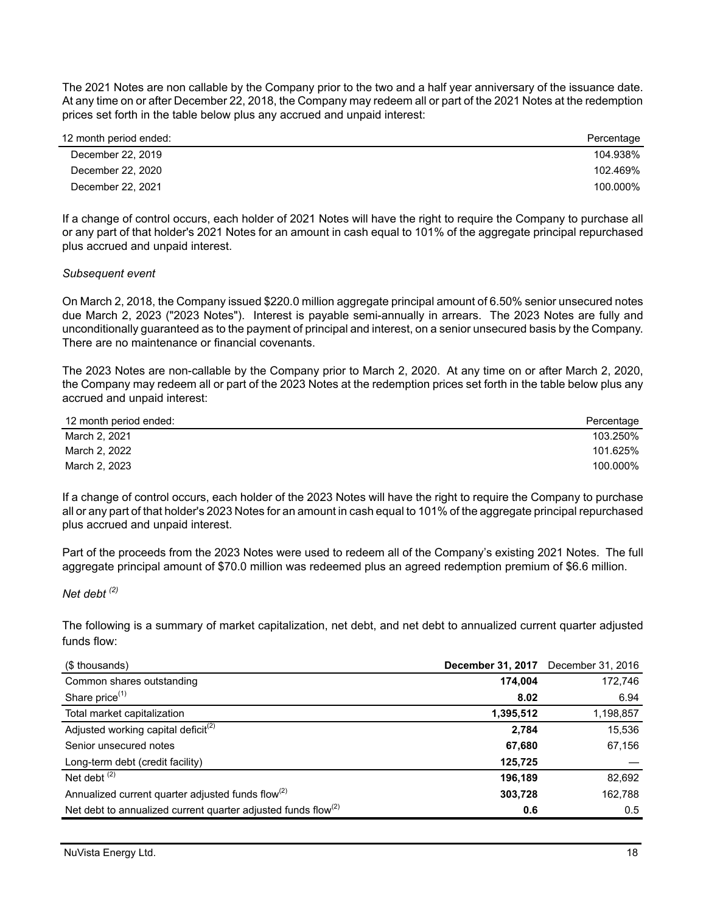The 2021 Notes are non callable by the Company prior to the two and a half year anniversary of the issuance date. At any time on or after December 22, 2018, the Company may redeem all or part of the 2021 Notes at the redemption prices set forth in the table below plus any accrued and unpaid interest:

| 12 month period ended: | Percentage |
|------------------------|------------|
| December 22, 2019      | 104.938%   |
| December 22, 2020      | 102.469%   |
| December 22, 2021      | 100.000%   |

If a change of control occurs, each holder of 2021 Notes will have the right to require the Company to purchase all or any part of that holder's 2021 Notes for an amount in cash equal to 101% of the aggregate principal repurchased plus accrued and unpaid interest.

*Subsequent event*

On March 2, 2018, the Company issued \$220.0 million aggregate principal amount of 6.50% senior unsecured notes due March 2, 2023 ("2023 Notes"). Interest is payable semi-annually in arrears. The 2023 Notes are fully and unconditionally guaranteed as to the payment of principal and interest, on a senior unsecured basis by the Company. There are no maintenance or financial covenants.

The 2023 Notes are non-callable by the Company prior to March 2, 2020. At any time on or after March 2, 2020, the Company may redeem all or part of the 2023 Notes at the redemption prices set forth in the table below plus any accrued and unpaid interest:

| 12 month period ended: | Percentage |
|------------------------|------------|
| March 2, 2021          | 103.250%   |
| March 2, 2022          | 101.625%   |
| March 2, 2023          | 100.000%   |

If a change of control occurs, each holder of the 2023 Notes will have the right to require the Company to purchase all or any part of that holder's 2023 Notes for an amount in cash equal to 101% of the aggregate principal repurchased plus accrued and unpaid interest.

Part of the proceeds from the 2023 Notes were used to redeem all of the Company's existing 2021 Notes. The full aggregate principal amount of \$70.0 million was redeemed plus an agreed redemption premium of \$6.6 million.

*Net debt (2)*

The following is a summary of market capitalization, net debt, and net debt to annualized current quarter adjusted funds flow:

| (\$ thousands)                                                      | <b>December 31, 2017</b> | December 31, 2016 |
|---------------------------------------------------------------------|--------------------------|-------------------|
| Common shares outstanding                                           | 174.004                  | 172,746           |
| Share price <sup>(1)</sup>                                          | 8.02                     | 6.94              |
| Total market capitalization                                         | 1,395,512                | 1,198,857         |
| Adjusted working capital deficit <sup>(2)</sup>                     | 2,784                    | 15,536            |
| Senior unsecured notes                                              | 67,680                   | 67,156            |
| Long-term debt (credit facility)                                    | 125,725                  |                   |
| Net debt $(2)$                                                      | 196,189                  | 82,692            |
| Annualized current quarter adjusted funds flow <sup>(2)</sup>       | 303,728                  | 162,788           |
| Net debt to annualized current quarter adjusted funds flow $^{(2)}$ | 0.6                      | 0.5               |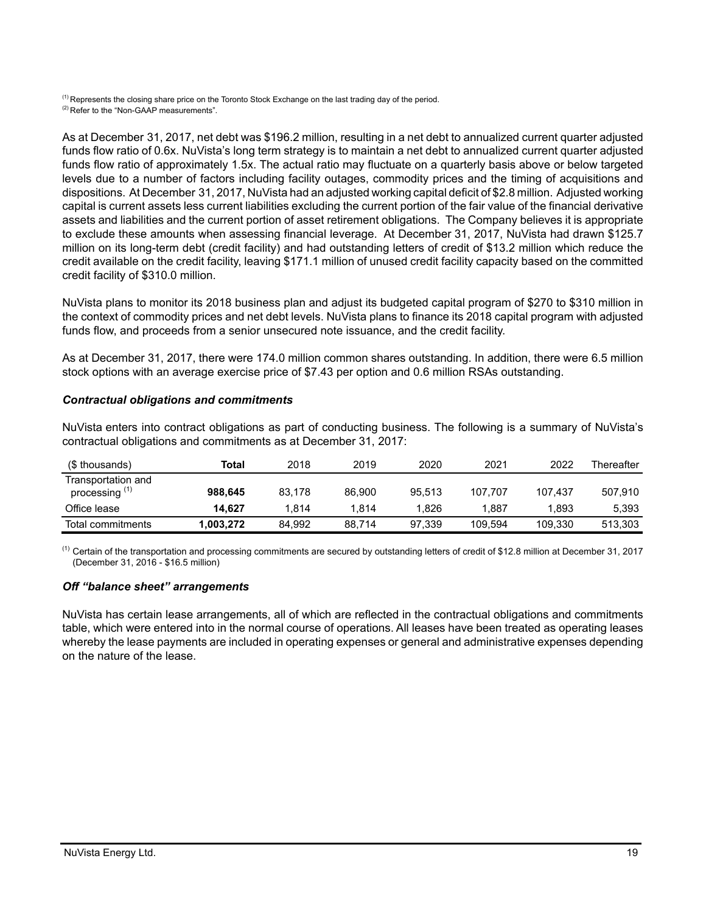<sup>(1)</sup> Represents the closing share price on the Toronto Stock Exchange on the last trading day of the period.

(2) Refer to the "Non-GAAP measurements".

As at December 31, 2017, net debt was \$196.2 million, resulting in a net debt to annualized current quarter adjusted funds flow ratio of 0.6x. NuVista's long term strategy is to maintain a net debt to annualized current quarter adjusted funds flow ratio of approximately 1.5x. The actual ratio may fluctuate on a quarterly basis above or below targeted levels due to a number of factors including facility outages, commodity prices and the timing of acquisitions and dispositions. At December 31, 2017, NuVista had an adjusted working capital deficit of \$2.8 million. Adjusted working capital is current assets less current liabilities excluding the current portion of the fair value of the financial derivative assets and liabilities and the current portion of asset retirement obligations. The Company believes it is appropriate to exclude these amounts when assessing financial leverage. At December 31, 2017, NuVista had drawn \$125.7 million on its long-term debt (credit facility) and had outstanding letters of credit of \$13.2 million which reduce the credit available on the credit facility, leaving \$171.1 million of unused credit facility capacity based on the committed credit facility of \$310.0 million.

NuVista plans to monitor its 2018 business plan and adjust its budgeted capital program of \$270 to \$310 million in the context of commodity prices and net debt levels. NuVista plans to finance its 2018 capital program with adjusted funds flow, and proceeds from a senior unsecured note issuance, and the credit facility.

As at December 31, 2017, there were 174.0 million common shares outstanding. In addition, there were 6.5 million stock options with an average exercise price of \$7.43 per option and 0.6 million RSAs outstanding.

### *Contractual obligations and commitments*

NuVista enters into contract obligations as part of conducting business. The following is a summary of NuVista's contractual obligations and commitments as at December 31, 2017:

| (\$ thousands)                                  | Total     | 2018   | 2019   | 2020   | 2021    | 2022    | Thereafter |
|-------------------------------------------------|-----------|--------|--------|--------|---------|---------|------------|
| Transportation and<br>processing <sup>(1)</sup> | 988.645   | 83.178 | 86,900 | 95.513 | 107.707 | 107.437 | 507,910    |
| Office lease                                    | 14.627    | 1.814  | 1.814  | 826. ا | 1.887   | 1.893   | 5,393      |
| Total commitments                               | 1,003,272 | 84.992 | 88.714 | 97.339 | 109.594 | 109.330 | 513,303    |

 $<sup>(1)</sup>$  Certain of the transportation and processing commitments are secured by outstanding letters of credit of \$12.8 million at December 31, 2017</sup> (December 31, 2016 - \$16.5 million)

## *Off "balance sheet" arrangements*

NuVista has certain lease arrangements, all of which are reflected in the contractual obligations and commitments table, which were entered into in the normal course of operations. All leases have been treated as operating leases whereby the lease payments are included in operating expenses or general and administrative expenses depending on the nature of the lease.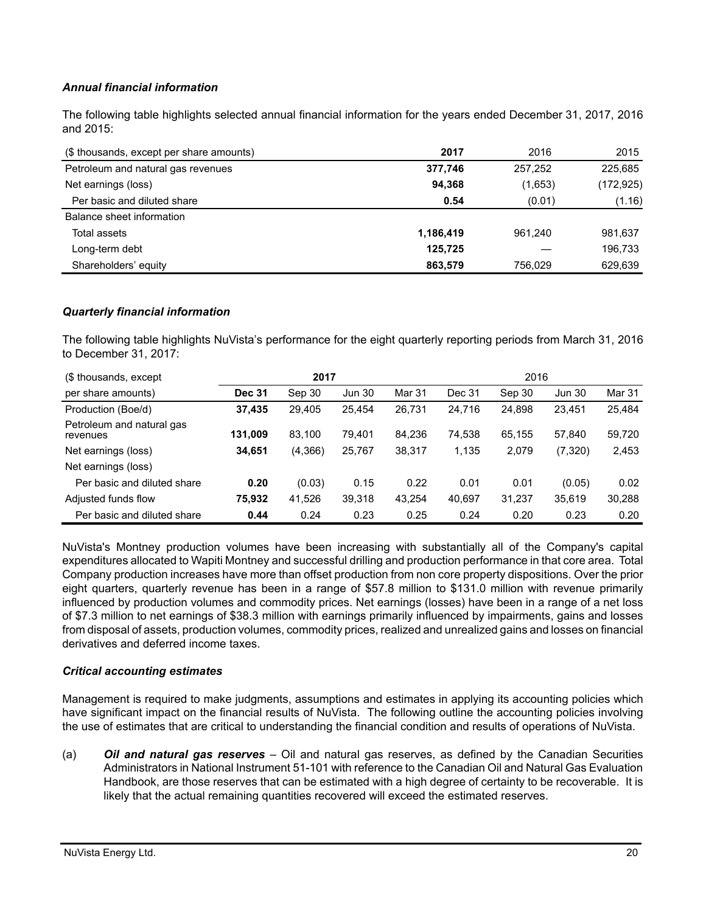## *Annual financial information*

The following table highlights selected annual financial information for the years ended December 31, 2017, 2016 and 2015:

| (\$ thousands, except per share amounts) | 2017      | 2016    | 2015       |
|------------------------------------------|-----------|---------|------------|
| Petroleum and natural gas revenues       | 377.746   | 257,252 | 225,685    |
| Net earnings (loss)                      | 94.368    | (1,653) | (172, 925) |
| Per basic and diluted share              | 0.54      | (0.01)  | (1.16)     |
| Balance sheet information                |           |         |            |
| Total assets                             | 1,186,419 | 961.240 | 981,637    |
| Long-term debt                           | 125,725   |         | 196,733    |
| Shareholders' equity                     | 863.579   | 756.029 | 629,639    |

### *Quarterly financial information*

The following table highlights NuVista's performance for the eight quarterly reporting periods from March 31, 2016 to December 31, 2017:

| (\$ thousands, except                 | 2017          |         |               |        | 2016   |        |               |        |
|---------------------------------------|---------------|---------|---------------|--------|--------|--------|---------------|--------|
| per share amounts)                    | <b>Dec 31</b> | Sep 30  | <b>Jun 30</b> | Mar 31 | Dec 31 | Sep 30 | <b>Jun 30</b> | Mar 31 |
| Production (Boe/d)                    | 37,435        | 29,405  | 25.454        | 26,731 | 24,716 | 24,898 | 23.451        | 25,484 |
| Petroleum and natural gas<br>revenues | 131,009       | 83.100  | 79,401        | 84,236 | 74,538 | 65,155 | 57.840        | 59,720 |
| Net earnings (loss)                   | 34,651        | (4,366) | 25,767        | 38,317 | 1,135  | 2,079  | (7, 320)      | 2,453  |
| Net earnings (loss)                   |               |         |               |        |        |        |               |        |
| Per basic and diluted share           | 0.20          | (0.03)  | 0.15          | 0.22   | 0.01   | 0.01   | (0.05)        | 0.02   |
| Adjusted funds flow                   | 75,932        | 41,526  | 39,318        | 43,254 | 40,697 | 31,237 | 35,619        | 30,288 |
| Per basic and diluted share           | 0.44          | 0.24    | 0.23          | 0.25   | 0.24   | 0.20   | 0.23          | 0.20   |

NuVista's Montney production volumes have been increasing with substantially all of the Company's capital expenditures allocated to Wapiti Montney and successful drilling and production performance in that core area. Total Company production increases have more than offset production from non core property dispositions. Over the prior eight quarters, quarterly revenue has been in a range of \$57.8 million to \$131.0 million with revenue primarily influenced by production volumes and commodity prices. Net earnings (losses) have been in a range of a net loss of \$7.3 million to net earnings of \$38.3 million with earnings primarily influenced by impairments, gains and losses from disposal of assets, production volumes, commodity prices, realized and unrealized gains and losses on financial derivatives and deferred income taxes.

### *Critical accounting estimates*

Management is required to make judgments, assumptions and estimates in applying its accounting policies which have significant impact on the financial results of NuVista. The following outline the accounting policies involving the use of estimates that are critical to understanding the financial condition and results of operations of NuVista.

(a) *Oil and natural gas reserves* – Oil and natural gas reserves, as defined by the Canadian Securities Administrators in National Instrument 51-101 with reference to the Canadian Oil and Natural Gas Evaluation Handbook, are those reserves that can be estimated with a high degree of certainty to be recoverable. It is likely that the actual remaining quantities recovered will exceed the estimated reserves.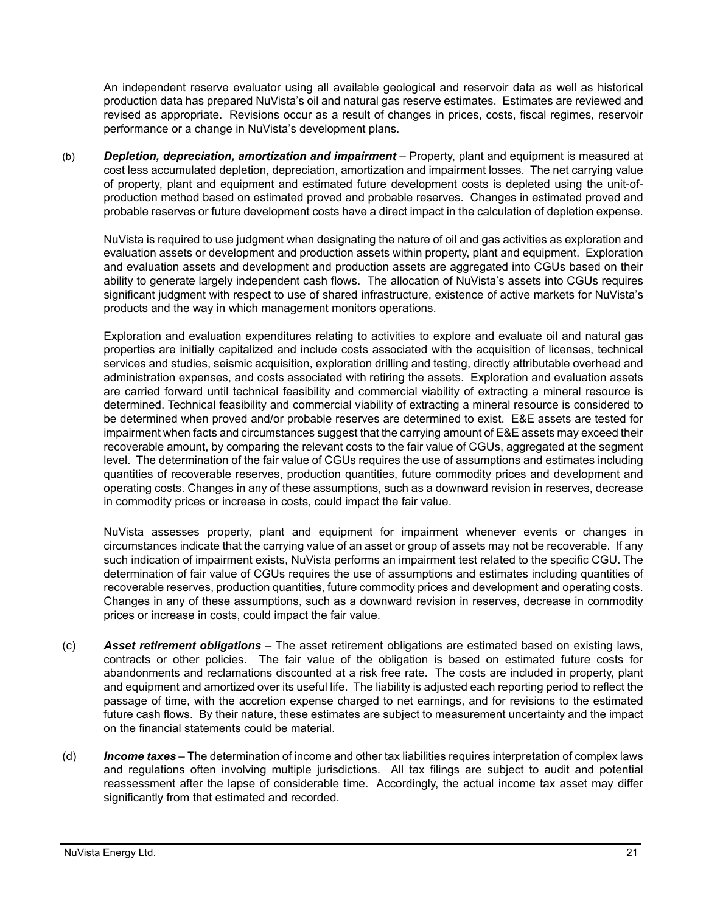An independent reserve evaluator using all available geological and reservoir data as well as historical production data has prepared NuVista's oil and natural gas reserve estimates. Estimates are reviewed and revised as appropriate. Revisions occur as a result of changes in prices, costs, fiscal regimes, reservoir performance or a change in NuVista's development plans.

(b) *Depletion, depreciation, amortization and impairment* – Property, plant and equipment is measured at cost less accumulated depletion, depreciation, amortization and impairment losses. The net carrying value of property, plant and equipment and estimated future development costs is depleted using the unit-ofproduction method based on estimated proved and probable reserves. Changes in estimated proved and probable reserves or future development costs have a direct impact in the calculation of depletion expense.

NuVista is required to use judgment when designating the nature of oil and gas activities as exploration and evaluation assets or development and production assets within property, plant and equipment. Exploration and evaluation assets and development and production assets are aggregated into CGUs based on their ability to generate largely independent cash flows. The allocation of NuVista's assets into CGUs requires significant judgment with respect to use of shared infrastructure, existence of active markets for NuVista's products and the way in which management monitors operations.

Exploration and evaluation expenditures relating to activities to explore and evaluate oil and natural gas properties are initially capitalized and include costs associated with the acquisition of licenses, technical services and studies, seismic acquisition, exploration drilling and testing, directly attributable overhead and administration expenses, and costs associated with retiring the assets. Exploration and evaluation assets are carried forward until technical feasibility and commercial viability of extracting a mineral resource is determined. Technical feasibility and commercial viability of extracting a mineral resource is considered to be determined when proved and/or probable reserves are determined to exist. E&E assets are tested for impairment when facts and circumstances suggest that the carrying amount of E&E assets may exceed their recoverable amount, by comparing the relevant costs to the fair value of CGUs, aggregated at the segment level. The determination of the fair value of CGUs requires the use of assumptions and estimates including quantities of recoverable reserves, production quantities, future commodity prices and development and operating costs. Changes in any of these assumptions, such as a downward revision in reserves, decrease in commodity prices or increase in costs, could impact the fair value.

NuVista assesses property, plant and equipment for impairment whenever events or changes in circumstances indicate that the carrying value of an asset or group of assets may not be recoverable. If any such indication of impairment exists, NuVista performs an impairment test related to the specific CGU. The determination of fair value of CGUs requires the use of assumptions and estimates including quantities of recoverable reserves, production quantities, future commodity prices and development and operating costs. Changes in any of these assumptions, such as a downward revision in reserves, decrease in commodity prices or increase in costs, could impact the fair value.

- (c) *Asset retirement obligations* The asset retirement obligations are estimated based on existing laws, contracts or other policies. The fair value of the obligation is based on estimated future costs for abandonments and reclamations discounted at a risk free rate. The costs are included in property, plant and equipment and amortized over its useful life. The liability is adjusted each reporting period to reflect the passage of time, with the accretion expense charged to net earnings, and for revisions to the estimated future cash flows. By their nature, these estimates are subject to measurement uncertainty and the impact on the financial statements could be material.
- (d) *Income taxes* The determination of income and other tax liabilities requires interpretation of complex laws and regulations often involving multiple jurisdictions. All tax filings are subject to audit and potential reassessment after the lapse of considerable time. Accordingly, the actual income tax asset may differ significantly from that estimated and recorded.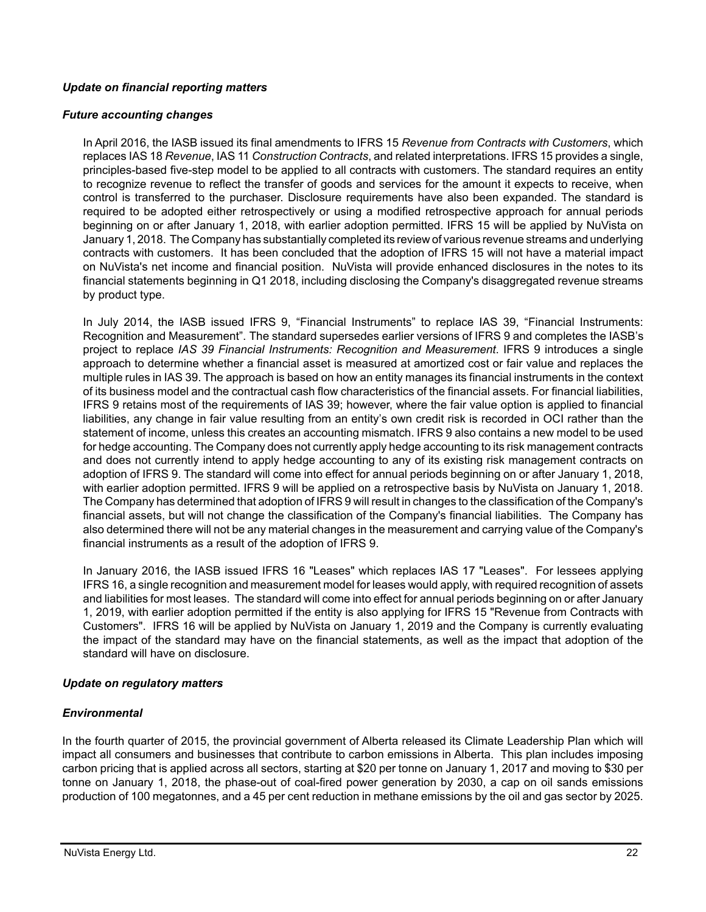### *Update on financial reporting matters*

#### *Future accounting changes*

In April 2016, the IASB issued its final amendments to IFRS 15 *Revenue from Contracts with Customers*, which replaces IAS 18 *Revenue*, IAS 11 *Construction Contracts*, and related interpretations. IFRS 15 provides a single, principles-based five-step model to be applied to all contracts with customers. The standard requires an entity to recognize revenue to reflect the transfer of goods and services for the amount it expects to receive, when control is transferred to the purchaser. Disclosure requirements have also been expanded. The standard is required to be adopted either retrospectively or using a modified retrospective approach for annual periods beginning on or after January 1, 2018, with earlier adoption permitted. IFRS 15 will be applied by NuVista on January 1, 2018. The Company has substantially completed its review of various revenue streams and underlying contracts with customers. It has been concluded that the adoption of IFRS 15 will not have a material impact on NuVista's net income and financial position. NuVista will provide enhanced disclosures in the notes to its financial statements beginning in Q1 2018, including disclosing the Company's disaggregated revenue streams by product type.

In July 2014, the IASB issued IFRS 9, "Financial Instruments" to replace IAS 39, "Financial Instruments: Recognition and Measurement". The standard supersedes earlier versions of IFRS 9 and completes the IASB's project to replace *IAS 39 Financial Instruments: Recognition and Measurement*. IFRS 9 introduces a single approach to determine whether a financial asset is measured at amortized cost or fair value and replaces the multiple rules in IAS 39. The approach is based on how an entity manages its financial instruments in the context of its business model and the contractual cash flow characteristics of the financial assets. For financial liabilities, IFRS 9 retains most of the requirements of IAS 39; however, where the fair value option is applied to financial liabilities, any change in fair value resulting from an entity's own credit risk is recorded in OCI rather than the statement of income, unless this creates an accounting mismatch. IFRS 9 also contains a new model to be used for hedge accounting. The Company does not currently apply hedge accounting to its risk management contracts and does not currently intend to apply hedge accounting to any of its existing risk management contracts on adoption of IFRS 9. The standard will come into effect for annual periods beginning on or after January 1, 2018, with earlier adoption permitted. IFRS 9 will be applied on a retrospective basis by NuVista on January 1, 2018. The Company has determined that adoption of IFRS 9 will result in changes to the classification of the Company's financial assets, but will not change the classification of the Company's financial liabilities. The Company has also determined there will not be any material changes in the measurement and carrying value of the Company's financial instruments as a result of the adoption of IFRS 9.

In January 2016, the IASB issued IFRS 16 "Leases" which replaces IAS 17 "Leases". For lessees applying IFRS 16, a single recognition and measurement model for leases would apply, with required recognition of assets and liabilities for most leases. The standard will come into effect for annual periods beginning on or after January 1, 2019, with earlier adoption permitted if the entity is also applying for IFRS 15 "Revenue from Contracts with Customers". IFRS 16 will be applied by NuVista on January 1, 2019 and the Company is currently evaluating the impact of the standard may have on the financial statements, as well as the impact that adoption of the standard will have on disclosure.

### *Update on regulatory matters*

### *Environmental*

In the fourth quarter of 2015, the provincial government of Alberta released its Climate Leadership Plan which will impact all consumers and businesses that contribute to carbon emissions in Alberta. This plan includes imposing carbon pricing that is applied across all sectors, starting at \$20 per tonne on January 1, 2017 and moving to \$30 per tonne on January 1, 2018, the phase-out of coal-fired power generation by 2030, a cap on oil sands emissions production of 100 megatonnes, and a 45 per cent reduction in methane emissions by the oil and gas sector by 2025.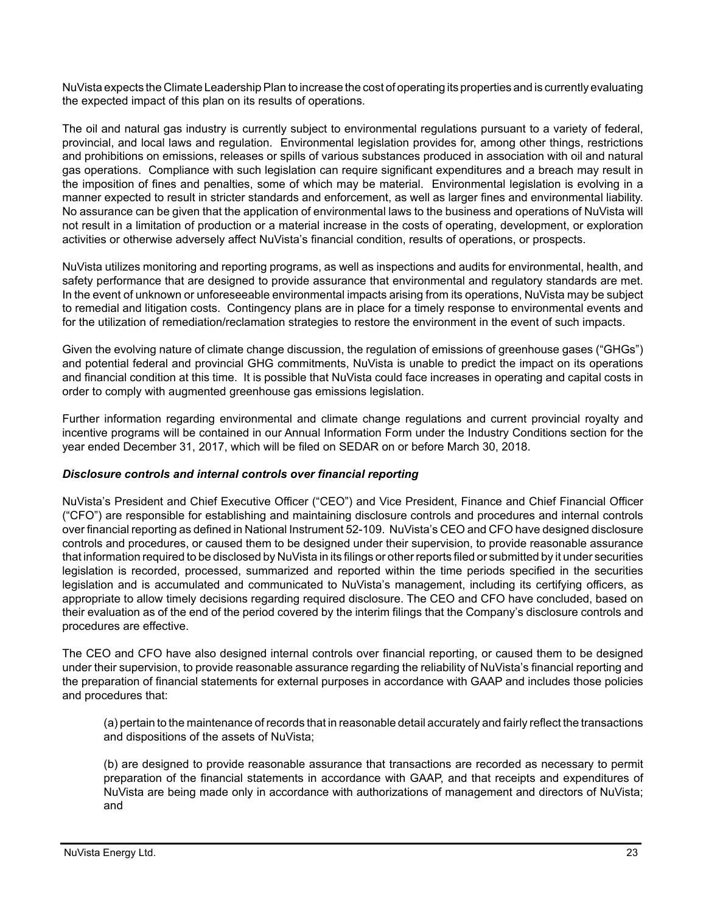NuVista expects the Climate Leadership Plan to increase the cost of operating its properties and is currently evaluating the expected impact of this plan on its results of operations.

The oil and natural gas industry is currently subject to environmental regulations pursuant to a variety of federal, provincial, and local laws and regulation. Environmental legislation provides for, among other things, restrictions and prohibitions on emissions, releases or spills of various substances produced in association with oil and natural gas operations. Compliance with such legislation can require significant expenditures and a breach may result in the imposition of fines and penalties, some of which may be material. Environmental legislation is evolving in a manner expected to result in stricter standards and enforcement, as well as larger fines and environmental liability. No assurance can be given that the application of environmental laws to the business and operations of NuVista will not result in a limitation of production or a material increase in the costs of operating, development, or exploration activities or otherwise adversely affect NuVista's financial condition, results of operations, or prospects.

NuVista utilizes monitoring and reporting programs, as well as inspections and audits for environmental, health, and safety performance that are designed to provide assurance that environmental and regulatory standards are met. In the event of unknown or unforeseeable environmental impacts arising from its operations, NuVista may be subject to remedial and litigation costs. Contingency plans are in place for a timely response to environmental events and for the utilization of remediation/reclamation strategies to restore the environment in the event of such impacts.

Given the evolving nature of climate change discussion, the regulation of emissions of greenhouse gases ("GHGs") and potential federal and provincial GHG commitments, NuVista is unable to predict the impact on its operations and financial condition at this time. It is possible that NuVista could face increases in operating and capital costs in order to comply with augmented greenhouse gas emissions legislation.

Further information regarding environmental and climate change regulations and current provincial royalty and incentive programs will be contained in our Annual Information Form under the Industry Conditions section for the year ended December 31, 2017, which will be filed on SEDAR on or before March 30, 2018.

### *Disclosure controls and internal controls over financial reporting*

NuVista's President and Chief Executive Officer ("CEO") and Vice President, Finance and Chief Financial Officer ("CFO") are responsible for establishing and maintaining disclosure controls and procedures and internal controls over financial reporting as defined in National Instrument 52-109. NuVista's CEO and CFO have designed disclosure controls and procedures, or caused them to be designed under their supervision, to provide reasonable assurance that information required to be disclosed by NuVista in its filings or other reports filed or submitted by it under securities legislation is recorded, processed, summarized and reported within the time periods specified in the securities legislation and is accumulated and communicated to NuVista's management, including its certifying officers, as appropriate to allow timely decisions regarding required disclosure. The CEO and CFO have concluded, based on their evaluation as of the end of the period covered by the interim filings that the Company's disclosure controls and procedures are effective.

The CEO and CFO have also designed internal controls over financial reporting, or caused them to be designed under their supervision, to provide reasonable assurance regarding the reliability of NuVista's financial reporting and the preparation of financial statements for external purposes in accordance with GAAP and includes those policies and procedures that:

(a) pertain to the maintenance of records that in reasonable detail accurately and fairly reflect the transactions and dispositions of the assets of NuVista;

(b) are designed to provide reasonable assurance that transactions are recorded as necessary to permit preparation of the financial statements in accordance with GAAP, and that receipts and expenditures of NuVista are being made only in accordance with authorizations of management and directors of NuVista; and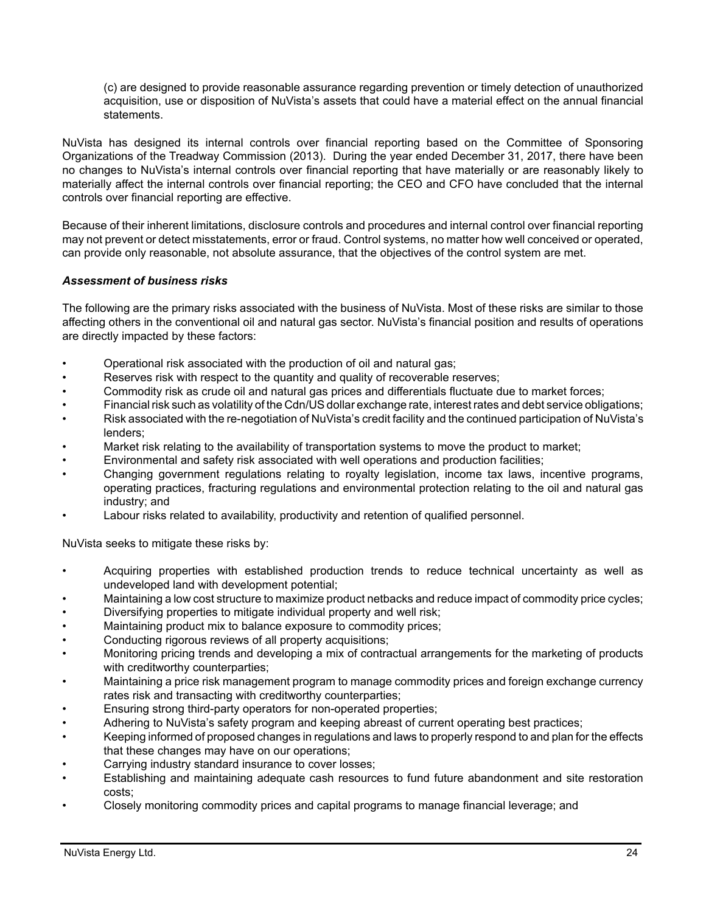(c) are designed to provide reasonable assurance regarding prevention or timely detection of unauthorized acquisition, use or disposition of NuVista's assets that could have a material effect on the annual financial statements.

NuVista has designed its internal controls over financial reporting based on the Committee of Sponsoring Organizations of the Treadway Commission (2013). During the year ended December 31, 2017, there have been no changes to NuVista's internal controls over financial reporting that have materially or are reasonably likely to materially affect the internal controls over financial reporting; the CEO and CFO have concluded that the internal controls over financial reporting are effective.

Because of their inherent limitations, disclosure controls and procedures and internal control over financial reporting may not prevent or detect misstatements, error or fraud. Control systems, no matter how well conceived or operated, can provide only reasonable, not absolute assurance, that the objectives of the control system are met.

### *Assessment of business risks*

The following are the primary risks associated with the business of NuVista. Most of these risks are similar to those affecting others in the conventional oil and natural gas sector. NuVista's financial position and results of operations are directly impacted by these factors:

- Operational risk associated with the production of oil and natural gas;
- Reserves risk with respect to the quantity and quality of recoverable reserves;
- Commodity risk as crude oil and natural gas prices and differentials fluctuate due to market forces;
- Financial risk such as volatility of the Cdn/US dollar exchange rate, interest rates and debt service obligations;
- Risk associated with the re-negotiation of NuVista's credit facility and the continued participation of NuVista's lenders;
- Market risk relating to the availability of transportation systems to move the product to market;
- Environmental and safety risk associated with well operations and production facilities;
- Changing government regulations relating to royalty legislation, income tax laws, incentive programs, operating practices, fracturing regulations and environmental protection relating to the oil and natural gas industry; and
- Labour risks related to availability, productivity and retention of qualified personnel.

NuVista seeks to mitigate these risks by:

- Acquiring properties with established production trends to reduce technical uncertainty as well as undeveloped land with development potential;
- Maintaining a low cost structure to maximize product netbacks and reduce impact of commodity price cycles;
- Diversifying properties to mitigate individual property and well risk;
- Maintaining product mix to balance exposure to commodity prices;
- Conducting rigorous reviews of all property acquisitions;
- Monitoring pricing trends and developing a mix of contractual arrangements for the marketing of products with creditworthy counterparties;
- Maintaining a price risk management program to manage commodity prices and foreign exchange currency rates risk and transacting with creditworthy counterparties;
- Ensuring strong third-party operators for non-operated properties;
- Adhering to NuVista's safety program and keeping abreast of current operating best practices;
- Keeping informed of proposed changes in regulations and laws to properly respond to and plan for the effects that these changes may have on our operations;
- Carrying industry standard insurance to cover losses;
- Establishing and maintaining adequate cash resources to fund future abandonment and site restoration costs;
- Closely monitoring commodity prices and capital programs to manage financial leverage; and